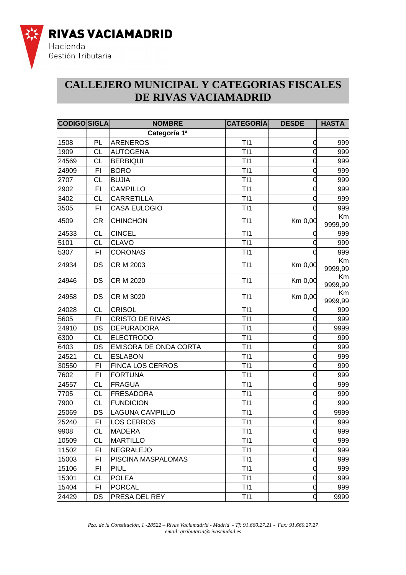

#### **CALLEJERO MUNICIPAL Y CATEGORIAS FISCALES DE RIVAS VACIAMADRID**

| <b>CODIGO SIGLA</b> |           | <b>NOMBRE</b>           | <b>CATEGORÍA</b> | <b>DESDE</b> | <b>HASTA</b>  |
|---------------------|-----------|-------------------------|------------------|--------------|---------------|
|                     |           | Categoría 1ª            |                  |              |               |
| 1508                | PL        | <b>ARENEROS</b>         | T11              | 0            | 999           |
| 1909                | СL        | <b>AUTOGENA</b>         | T11              |              | 999           |
| 24569               | <b>CL</b> | <b>BERBIQUI</b>         | TI1              |              | 999           |
| 24909               | FI        | <b>BORO</b>             | TI1              |              | 999           |
| 2707                | <b>CL</b> | <b>BUJIA</b>            | T11              | 0            | 999           |
| 2902                | FI        | <b>CAMPILLO</b>         | T11              |              | 999           |
| 3402                | СL        | <b>CARRETILLA</b>       | T11              |              | 999           |
| 3505                | FI        | <b>CASA EULOGIO</b>     | T11              |              | 999           |
| 4509                | <b>CR</b> | <b>CHINCHON</b>         | T11              | Km 0,00      | Km<br>9999,99 |
| 24533               | <b>CL</b> | <b>CINCEL</b>           | TI1              |              | 999           |
| 5101                | CL        | <b>CLAVO</b>            | T11              |              | 999           |
| 5307                | FI        | <b>CORONAS</b>          | TI1              |              | 999           |
| 24934               | DS        | CR M 2003               | T11              | Km 0,00      | Km<br>9999,99 |
| 24946               | DS        | <b>CR M 2020</b>        | T11              | Km 0,00      | Κm<br>9999,99 |
| 24958               | DS        | CR M 3020               | T11              | Km 0,00      | Km<br>9999,99 |
| 24028               | <b>CL</b> | <b>CRISOL</b>           | TI1              |              | 999           |
| 5605                | F1        | <b>CRISTO DE RIVAS</b>  | TI1              |              | 999           |
| 24910               | DS        | <b>DEPURADORA</b>       | T11              |              | 9999          |
| 6300                | CL        | <b>ELECTRODO</b>        | T11              |              | 999           |
| 6403                | DS        | EMISORA DE ONDA CORTA   | T11              |              | 999           |
| 24521               | CL        | <b>ESLABON</b>          | T11              |              | 999           |
| 30550               | FI        | <b>FINCA LOS CERROS</b> | T11              | 0            | 999           |
| 7602                | FI        | <b>FORTUNA</b>          | TI1              | 0            | 999           |
| 24557               | <b>CL</b> | <b>FRAGUA</b>           | T11              |              | 999           |
| 7705                | <b>CL</b> | <b>FRESADORA</b>        | T11              |              | 999           |
| 7900                | <b>CL</b> | <b>FUNDICION</b>        | T11              |              | 999           |
| 25069               | DS        | <b>LAGUNA CAMPILLO</b>  | TI1              | 0            | 9999          |
| 25240               | FI        | <b>LOS CERROS</b>       | T11              | 0            | 999           |
| 9908                | СL        | <b>MADERA</b>           | T <sub>11</sub>  | 0            | 999           |
| 10509               | <b>CL</b> | <b>MARTILLO</b>         | T11              | 0            | 999           |
| 11502               | FI        | <b>NEGRALEJO</b>        | T11              | 0            | 999           |
| 15003               | FI        | PISCINA MASPALOMAS      | T11              | 0            | 999           |
| 15106               | FI        | PIUL                    | T <sub>11</sub>  | 0            | 999           |
| 15301               | CL        | <b>POLEA</b>            | TI1              | 0            | 999           |
| 15404               | FI        | <b>PORCAL</b>           | T11              | 0            | 999           |
| 24429               | DS        | PRESA DEL REY           | T11              | 0            | 9999          |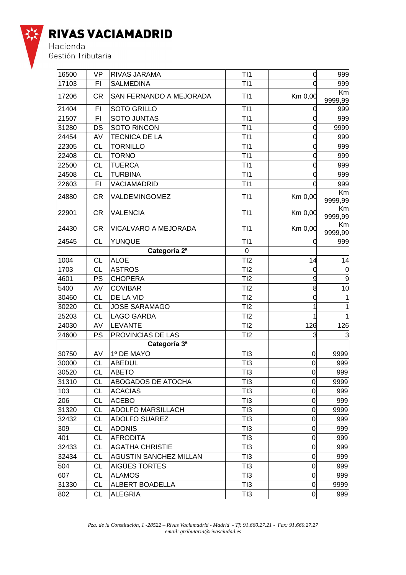

| 16500 | <b>VP</b> | RIVAS JARAMA                  | T <sub>11</sub> | 0              | 999           |
|-------|-----------|-------------------------------|-----------------|----------------|---------------|
| 17103 | FI        | <b>SALMEDINA</b>              | TI1             |                | 999           |
| 17206 | <b>CR</b> | SAN FERNANDO A MEJORADA       | T <sub>11</sub> | Km 0,00        | Km<br>9999,99 |
| 21404 | FI        | <b>SOTO GRILLO</b>            | TI1             |                | 999           |
| 21507 | FI        | <b>SOTO JUNTAS</b>            | TI1             |                | 999           |
| 31280 | DS        | <b>SOTO RINCON</b>            | T11             | 0              | 9999          |
| 24454 | AV        | <b>TECNICA DE LA</b>          | TI1             |                | 999           |
| 22305 | <b>CL</b> | <b>TORNILLO</b>               | T11             | 0              | 999           |
| 22408 | CL        | <b>TORNO</b>                  | T11             |                | 999           |
| 22500 | <b>CL</b> | <b>TUERCA</b>                 | TI1             | 0              | 999           |
| 24508 | CL        | <b>TURBINA</b>                | T11             |                | 999           |
| 22603 | FI        | VACIAMADRID                   | T11             |                | 999           |
| 24880 | <b>CR</b> | VALDEMINGOMEZ                 | T11             | Km 0,00        | Km<br>9999,99 |
| 22901 | CR        | <b>VALENCIA</b>               | T <sub>11</sub> | Km 0,00        | Km<br>9999,99 |
| 24430 | <b>CR</b> | VICALVARO A MEJORADA          | T11             | Km 0,00        | Km<br>9999,99 |
| 24545 | <b>CL</b> | <b>YUNQUE</b>                 | T11             |                | 999           |
|       |           | Categoría 2ª                  | 0               |                |               |
| 1004  | <b>CL</b> | <b>ALOE</b>                   | TI2             | 14             | 14            |
| 1703  | <b>CL</b> | <b>ASTROS</b>                 | TI2             | 0              | 0             |
| 4601  | PS        | <b>CHOPERA</b>                | TI2             |                | 9             |
| 5400  | AV        | <b>COVIBAR</b>                | TI2             | 8              | 10            |
| 30460 | CL        | DE LA VID                     | TI2             | 0              |               |
| 30220 | СL        | <b>JOSE SARAMAGO</b>          | TI2             |                |               |
| 25203 | CL        | <b>LAGO GARDA</b>             | TI2             |                |               |
| 24030 | AV        | <b>LEVANTE</b>                | TI2             | 126            | 126           |
| 24600 | PS        | PROVINCIAS DE LAS             | TI2             | 3              |               |
|       |           | Categoría 3ª                  |                 |                |               |
| 30750 | AV        | 1º DE MAYO                    | TI3             | 0              | 9999          |
| 30000 | CL        | <b>ABEDUL</b>                 | TI3             | 0              | 999           |
| 30520 | CL        | <b>ABETO</b>                  | TI3             | $\overline{0}$ | 999           |
| 31310 | CL        | <b>ABOGADOS DE ATOCHA</b>     | TI3             | 0              | 9999          |
| 103   | <b>CL</b> | <b>ACACIAS</b>                | TI3             | 0              | 999           |
| 206   | СL        | <b>ACEBO</b>                  | TI3             | $\mathbf 0$    | 999           |
| 31320 | CL        | <b>ADOLFO MARSILLACH</b>      | TI3             | 0              | 9999          |
| 32432 | CL        | <b>ADOLFO SUAREZ</b>          | TI3             | 0              | 999           |
| 309   | CL        | <b>ADONIS</b>                 | TI3             | 0              | 999           |
| 401   | CL        | <b>AFRODITA</b>               | TI3             | 0              | 999           |
| 32433 | CL        | <b>AGATHA CHRISTIE</b>        | TI3             | 0              | 999           |
| 32434 | СL        | <b>AGUSTIN SANCHEZ MILLAN</b> | TI3             | 0              | 999           |
| 504   | СL        | AIGÜES TORTES                 | TI3             | 0              | 999           |
| 607   | СL        | <b>ALAMOS</b>                 | TI3             | 0              | 999           |
| 31330 | CL        | ALBERT BOADELLA               | TI3             | 0              | 9999          |
| 802   | СL        | <b>ALEGRIA</b>                | TI3             | 0              | 999           |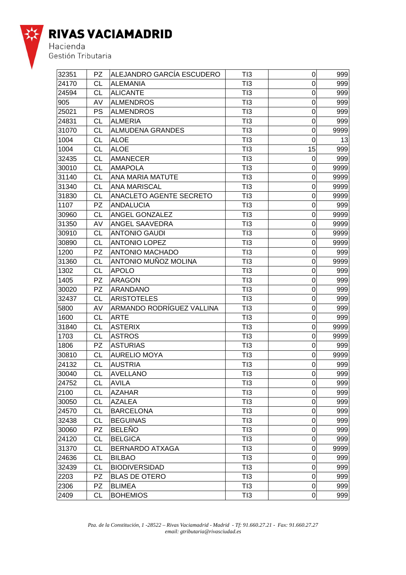

| 32351 | <b>PZ</b> | ALEJANDRO GARCÍA ESCUDERO | TI3 | $\mathbf 0$      | 999  |
|-------|-----------|---------------------------|-----|------------------|------|
| 24170 | СL        | <b>ALEMANIA</b>           | TI3 | $\Omega$         | 999  |
| 24594 | <b>CL</b> | <b>ALICANTE</b>           | TI3 | $\overline{0}$   | 999  |
| 905   | AV        | <b>ALMENDROS</b>          | TI3 | 0                | 999  |
| 25021 | PS        | <b>ALMENDROS</b>          | TI3 | 0                | 999  |
| 24831 | <b>CL</b> | <b>ALMERIA</b>            | TI3 | 0                | 999  |
| 31070 | СL        | <b>ALMUDENA GRANDES</b>   | TI3 | 0                | 9999 |
| 1004  | СL        | <b>ALOE</b>               | TI3 | $\mathbf 0$      | 13   |
| 1004  | <b>CL</b> | <b>ALOE</b>               | TI3 | 15               | 999  |
| 32435 | СL        | <b>AMANECER</b>           | TI3 | $\overline{0}$   | 999  |
| 30010 | <b>CL</b> | <b>AMAPOLA</b>            | TI3 | 0                | 9999 |
| 31140 | СL        | ANA MARIA MATUTE          | TI3 | 0                | 9999 |
| 31340 | <b>CL</b> | <b>ANA MARISCAL</b>       | TI3 | 0                | 9999 |
| 31830 | CL        | ANACLETO AGENTE SECRETO   | TI3 | 0                | 9999 |
| 1107  | <b>PZ</b> | <b>ANDALUCIA</b>          | TI3 | 0                | 999  |
| 30960 | СL        | ANGEL GONZALEZ            | TI3 | 0                | 9999 |
| 31350 | AV        | ANGEL SAAVEDRA            | TI3 | $\overline{0}$   | 9999 |
| 30910 | СL        | <b>ANTONIO GAUDI</b>      | TI3 | 0                | 9999 |
| 30890 | СL        | <b>ANTONIO LOPEZ</b>      | TI3 | 0                | 9999 |
| 1200  | <b>PZ</b> | <b>ANTONIO MACHADO</b>    | TI3 | 0                | 999  |
| 31360 | CL        | ANTONIO MUÑOZ MOLINA      | TI3 | 0                | 9999 |
| 1302  | CL        | <b>APOLO</b>              | TI3 | 0                | 999  |
| 1405  | <b>PZ</b> | <b>ARAGON</b>             | TI3 | 0                | 999  |
| 30020 | <b>PZ</b> | <b>ARANDANO</b>           | TI3 | $\overline{0}$   | 999  |
| 32437 | <b>CL</b> | <b>ARISTOTELES</b>        | TI3 | $\mathbf 0$      | 999  |
| 5800  | AV        | ARMANDO RODRÍGUEZ VALLINA | TI3 | 0                | 999  |
| 1600  | <b>CL</b> | <b>ARTE</b>               | TI3 | 0                | 999  |
| 31840 | <b>CL</b> | <b>ASTERIX</b>            | TI3 | 0                | 9999 |
| 1703  | <b>CL</b> | <b>ASTROS</b>             | TI3 | 0                | 9999 |
| 1806  | <b>PZ</b> | <b>ASTURIAS</b>           | TI3 | 0                | 999  |
| 30810 | СL        | <b>AURELIO MOYA</b>       | TI3 | 0                | 9999 |
| 24132 | <b>CL</b> | <b>AUSTRIA</b>            | TI3 | 0                | 999  |
| 30040 | CL        | <b>AVELLANO</b>           | TI3 | $\Omega$         | 999  |
| 24752 | CL        | <b>AVILA</b>              | TI3 | $\mathbf 0$      | 999  |
| 2100  | СL        | <b>AZAHAR</b>             | TI3 | 0                | 999  |
| 30050 | <b>CL</b> | <b>AZALEA</b>             | TI3 | $\mathbf 0$      | 999  |
| 24570 | СL        | <b>BARCELONA</b>          | TI3 | 0                | 999  |
| 32438 | <b>CL</b> | <b>BEGUINAS</b>           | TI3 | $\mathbf 0$      | 999  |
| 30060 | <b>PZ</b> | <b>BELEÑO</b>             | TI3 | $\mathbf 0$      | 999  |
| 24120 | <b>CL</b> | <b>BELGICA</b>            | TI3 | 0                | 999  |
| 31370 | <b>CL</b> | <b>BERNARDO ATXAGA</b>    | TI3 | 0                | 9999 |
| 24636 | <b>CL</b> | <b>BILBAO</b>             | TI3 | $\boldsymbol{0}$ | 999  |
| 32439 | <b>CL</b> | <b>BIODIVERSIDAD</b>      | TI3 | $\mathsf 0$      | 999  |
| 2203  | PZ        | <b>BLAS DE OTERO</b>      | TI3 | 0                | 999  |
| 2306  | PZ        | <b>BLIMEA</b>             | TI3 | $\mathbf 0$      | 999  |
| 2409  | <b>CL</b> | <b>BOHEMIOS</b>           | TI3 | $\mathsf 0$      | 999  |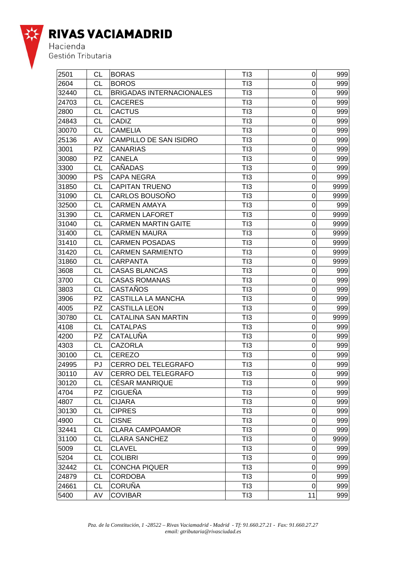

| 2501  | СL        | <b>BORAS</b>                    | TI3             | 0              | 999  |
|-------|-----------|---------------------------------|-----------------|----------------|------|
| 2604  | <b>CL</b> | <b>BOROS</b>                    | TI3             | $\overline{0}$ | 999  |
| 32440 | СL        | <b>BRIGADAS INTERNACIONALES</b> | TI3             | 0              | 999  |
| 24703 | СL        | <b>CACERES</b>                  | TI3             | 0              | 999  |
| 2800  | <b>CL</b> | <b>CACTUS</b>                   | TI3             | 0              | 999  |
| 24843 | <b>CL</b> | CADIZ                           | TI3             | $\mathbf 0$    | 999  |
| 30070 | <b>CL</b> | <b>CAMELIA</b>                  | TI3             | $\mathbf 0$    | 999  |
| 25136 | AV        | CAMPILLO DE SAN ISIDRO          | TI3             | 0              | 999  |
| 3001  | <b>PZ</b> | <b>CANARIAS</b>                 | TI3             | $\overline{0}$ | 999  |
| 30080 | <b>PZ</b> | <b>CANELA</b>                   | TI3             | $\mathbf 0$    | 999  |
| 3300  | СL        | CAÑADAS                         | TI3             | 0              | 999  |
| 30090 | PS        | <b>CAPA NEGRA</b>               | TI3             | 0              | 999  |
| 31850 | <b>CL</b> | <b>CAPITAN TRUENO</b>           | TI3             | 0              | 9999 |
| 31090 | СL        | CARLOS BOUSOÑO                  | TI3             | $\mathbf 0$    | 9999 |
| 32500 | СL        | <b>CARMEN AMAYA</b>             | TI3             | 0              | 999  |
| 31390 | СL        | <b>CARMEN LAFORET</b>           | TI3             | $\overline{0}$ | 9999 |
| 31040 | СL        | <b>CARMEN MARTIN GAITE</b>      | TI3             | $\mathbf 0$    | 9999 |
| 31400 | СL        | <b>CARMEN MAURA</b>             | TI3             | 0              | 9999 |
| 31410 | СL        | <b>CARMEN POSADAS</b>           | TI3             | 0              | 9999 |
| 31420 | СL        | <b>CARMEN SARMIENTO</b>         | TI3             | $\mathbf 0$    | 9999 |
| 31860 | СL        | <b>CARPANTA</b>                 | TI3             | $\overline{0}$ | 9999 |
| 3608  | СL        | <b>CASAS BLANCAS</b>            | TI3             | 0              | 999  |
| 3700  | СL        | <b>CASAS ROMANAS</b>            | TI3             | $\mathbf 0$    | 999  |
| 3803  | СL        | CASTAÑOS                        | TI3             | $\overline{0}$ | 999  |
| 3906  | <b>PZ</b> | <b>CASTILLA LA MANCHA</b>       | TI3             | $\mathbf 0$    | 999  |
| 4005  | <b>PZ</b> | <b>CASTILLA LEON</b>            | TI3             | 0              | 999  |
| 30780 | СL        | <b>CATALINA SAN MARTIN</b>      | TI3             | 0              | 9999 |
| 4108  | <b>CL</b> | <b>CATALPAS</b>                 | TI3             | $\mathbf 0$    | 999  |
| 4200  | PZ        | CATALUÑA                        | TI3             | 0              | 999  |
| 4303  | <b>CL</b> | <b>CAZORLA</b>                  | TI3             | 0              | 999  |
| 30100 | СL        | <b>CEREZO</b>                   | TI3             | $\mathbf 0$    | 999  |
| 24995 | PJ        | <b>CERRO DEL TELEGRAFO</b>      | TI3             | 0              | 999  |
| 30110 | AV        | <b>CERRO DEL TELEGRAFO</b>      | T <sub>13</sub> | $\pmb{0}$      | 999  |
| 30120 | CL        | <b>CÉSAR MANRIQUE</b>           | TI3             | 0              | 999  |
| 4704  | PZ.       | <b>CIGUEÑA</b>                  | TI3             | $\mathbf 0$    | 999  |
| 4807  | CL        | <b>CIJARA</b>                   | TI3             | 0              | 999  |
| 30130 | <b>CL</b> | <b>CIPRES</b>                   | TI3             | 0              | 999  |
| 4900  | <b>CL</b> | <b>CISNE</b>                    | TI3             | $\pmb{0}$      | 999  |
| 32441 | <b>CL</b> | <b>CLARA CAMPOAMOR</b>          | TI3             | 0              | 999  |
| 31100 | <b>CL</b> | <b>CLARA SANCHEZ</b>            | TI3             | 0              | 9999 |
| 5009  | <b>CL</b> | <b>CLAVEL</b>                   | TI3             | $\mathbf 0$    | 999  |
| 5204  | <b>CL</b> | <b>COLIBRI</b>                  | TI3             | $\mathsf 0$    | 999  |
| 32442 | СL        | <b>CONCHA PIQUER</b>            | TI3             | 0              | 999  |
| 24879 | CL        | <b>CORDOBA</b>                  | TI3             | 0              | 999  |
| 24661 | <b>CL</b> | <b>CORUÑA</b>                   | TI3             | $\mathbf 0$    | 999  |
| 5400  | AV        | <b>COVIBAR</b>                  | TI3             | 11             | 999  |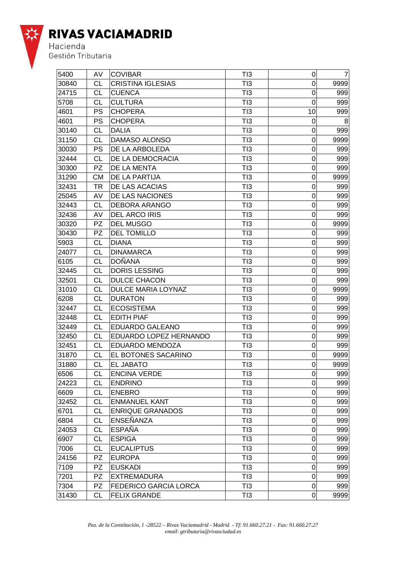

| 5400  | AV        | <b>COVIBAR</b>               | TI3 | $\mathbf 0$      | $\overline{7}$ |
|-------|-----------|------------------------------|-----|------------------|----------------|
| 30840 | СL        | <b>CRISTINA IGLESIAS</b>     | TI3 | 0                | 9999           |
| 24715 | <b>CL</b> | <b>CUENCA</b>                | TI3 | $\overline{0}$   | 999            |
| 5708  | <b>CL</b> | <b>CULTURA</b>               | TI3 | $\overline{0}$   | 999            |
| 4601  | PS        | <b>CHOPERA</b>               | TI3 | 10               | 999            |
| 4601  | PS        | <b>CHOPERA</b>               | TI3 | 0                | 8              |
| 30140 | <b>CL</b> | <b>DALIA</b>                 | TI3 | $\mathbf 0$      | 999            |
| 31150 | CL        | DAMASO ALONSO                | TI3 | $\overline{0}$   | 9999           |
| 30030 | PS        | DE LA ARBOLEDA               | TI3 | 0                | 999            |
| 32444 | CL        | DE LA DEMOCRACIA             | TI3 | $\mathbf 0$      | 999            |
| 30300 | <b>PZ</b> | DE LA MENTA                  | TI3 | $\overline{0}$   | 999            |
| 31290 | <b>CM</b> | DE LA PARTIJA                | TI3 | $\mathbf 0$      | 9999           |
| 32431 | TR        | DE LAS ACACIAS               | TI3 | 0                | 999            |
| 25045 | AV        | DE LAS NACIONES              | TI3 | $\mathbf 0$      | 999            |
| 32443 | <b>CL</b> | <b>DEBORA ARANGO</b>         | TI3 | $\mathbf 0$      | 999            |
| 32436 | AV        | <b>DEL ARCO IRIS</b>         | TI3 | 0                | 999            |
| 30320 | <b>PZ</b> | <b>DEL MUSGO</b>             | TI3 | $\mathbf 0$      | 9999           |
| 30430 | <b>PZ</b> | <b>DEL TOMILLO</b>           | TI3 | $\overline{0}$   | 999            |
| 5903  | СL        | <b>DIANA</b>                 | TI3 | $\overline{0}$   | 999            |
| 24077 | <b>CL</b> | <b>DINAMARCA</b>             | TI3 | 0                | 999            |
| 6105  | <b>CL</b> | <b>DOÑANA</b>                | TI3 | $\mathbf 0$      | 999            |
| 32445 | <b>CL</b> | <b>DORIS LESSING</b>         | TI3 | $\mathbf 0$      | 999            |
| 32501 | <b>CL</b> | <b>DULCE CHACON</b>          | TI3 | 0                | 999            |
| 31010 | <b>CL</b> | DULCE MARIA LOYNAZ           | TI3 | $\mathbf 0$      | 9999           |
| 6208  | СL        | <b>DURATON</b>               | TI3 | $\mathbf 0$      | 999            |
| 32447 | СL        | <b>ECOSISTEMA</b>            | TI3 | $\mathbf 0$      | 999            |
| 32448 | <b>CL</b> | <b>EDITH PIAF</b>            | TI3 | 0                | 999            |
| 32449 | <b>CL</b> | EDUARDO GALEANO              | TI3 | $\mathbf 0$      | 999            |
| 32450 | <b>CL</b> | EDUARDO LOPEZ HERNANDO       | TI3 | $\mathbf 0$      | 999            |
| 32451 | <b>CL</b> | EDUARDO MENDOZA              | TI3 | 0                | 999            |
| 31870 | <b>CL</b> | EL BOTONES SACARINO          | TI3 | 0                | 9999           |
| 31880 | СL        | <b>EL JABATO</b>             | TI3 | $\mathbf 0$      | 9999           |
| 6506  | CL        | <b>ENCINA VERDE</b>          | TI3 | $\Omega$         | 999            |
| 24223 | <b>CL</b> | <b>ENDRINO</b>               | TI3 | 0                | 999            |
| 6609  | <b>CL</b> | <b>ENEBRO</b>                | TI3 | $\mathbf 0$      | 999            |
| 32452 | <b>CL</b> | <b>ENMANUEL KANT</b>         | TI3 | $\boldsymbol{0}$ | 999            |
| 6701  | СL        | <b>ENRIQUE GRANADOS</b>      | TI3 | 0                | 999            |
| 6804  | <b>CL</b> | ENSEÑANZA                    | TI3 | $\mathbf 0$      | 999            |
| 24053 | <b>CL</b> | <b>ESPAÑA</b>                | TI3 | $\mathbf 0$      | 999            |
| 6907  | СL        | <b>ESPIGA</b>                | TI3 | $\mathbf 0$      | 999            |
| 7006  | <b>CL</b> | <b>EUCALIPTUS</b>            | TI3 | $\mathbf 0$      | 999            |
| 24156 | <b>PZ</b> | <b>EUROPA</b>                | TI3 | $\mathbf 0$      | 999            |
| 7109  | <b>PZ</b> | <b>EUSKADI</b>               | TI3 | $\boldsymbol{0}$ | 999            |
| 7201  | <b>PZ</b> | <b>EXTREMADURA</b>           | TI3 | 0                | 999            |
| 7304  | PZ        | <b>FEDERICO GARCIA LORCA</b> | TI3 | $\mathbf 0$      | 999            |
| 31430 | <b>CL</b> | <b>FELIX GRANDE</b>          | TI3 | $\mathbf 0$      | 9999           |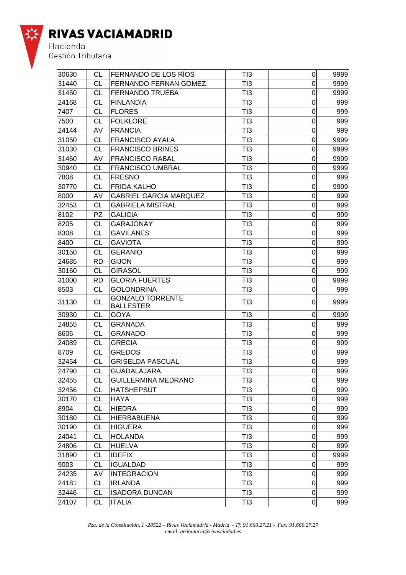

Hacienda<br>Gestión Tributaria

| 30630 | CL        | FERNANDO DE LOS RÍOS                        | TI3             | $\overline{0}$   | 9999 |
|-------|-----------|---------------------------------------------|-----------------|------------------|------|
| 31440 | СL        | <b>FERNANDO FERNAN GOMEZ</b>                | TI3             | 0                | 9999 |
| 31450 | СL        | <b>FERNANDO TRUEBA</b>                      | TI3             | 0                | 9999 |
| 24168 | CL        | <b>FINLANDIA</b>                            | TI3             | 0                | 999  |
| 7407  | CL        | <b>FLORES</b>                               | TI3             | 0                | 999  |
| 7500  | CL        | <b>FOLKLORE</b>                             | TI3             | 0                | 999  |
| 24144 | AV        | <b>FRANCIA</b>                              | TI3             | 0                | 999  |
| 31050 | <b>CL</b> | <b>FRANCISCO AYALA</b>                      | TI3             | 0                | 9999 |
| 31030 | <b>CL</b> | <b>FRANCISCO BRINES</b>                     | TI3             | 0                | 9999 |
| 31460 | AV        | <b>FRANCISCO RABAL</b>                      | TI3             | 0                | 9999 |
| 30940 | СL        | <b>FRANCISCO UMBRAL</b>                     | TI3             | $\mathbf 0$      | 9999 |
| 7808  | CL        | <b>FRESNO</b>                               | TI3             | 0                | 999  |
| 30770 | <b>CL</b> | <b>FRIDA KALHO</b>                          | TI3             | 0                | 9999 |
| 8000  | AV        | <b>GABRIEL GARCIA MARQUEZ</b>               | TI3             | 0                | 999  |
| 32453 | <b>CL</b> | <b>GABRIELA MISTRAL</b>                     | TI3             | 0                | 999  |
| 8102  | <b>PZ</b> | <b>GALICIA</b>                              | TI3             | 0                | 999  |
| 8205  | CL        | <b>GARAJONAY</b>                            | TI3             | 0                | 999  |
| 8308  | СL        | <b>GAVILANES</b>                            | TI3             | $\boldsymbol{0}$ | 999  |
| 8400  | CL        | <b>GAVIOTA</b>                              | TI3             | 0                | 999  |
| 30150 | <b>CL</b> | <b>GERANIO</b>                              | TI3             | 0                | 999  |
| 24685 | <b>RD</b> | <b>GIJON</b>                                | TI3             | 0                | 999  |
| 30160 | <b>CL</b> | <b>GIRASOL</b>                              | TI3             | $\mathbf 0$      | 999  |
| 31000 | RD        | <b>GLORIA FUERTES</b>                       | TI3             | $\mathbf 0$      | 9999 |
| 8503  | <b>CL</b> | <b>GOLONDRINA</b>                           | TI3             | 0                | 999  |
| 31130 | <b>CL</b> | <b>GONZALO TORRENTE</b><br><b>BALLESTER</b> | TI3             | 0                | 9999 |
| 30930 | <b>CL</b> | <b>GOYA</b>                                 | TI3             | 0                | 9999 |
| 24855 | CL        | <b>GRANADA</b>                              | TI3             | 0                | 999  |
| 8606  | <b>CL</b> | <b>GRANADO</b>                              | TI3             | 0                | 999  |
| 24089 | <b>CL</b> | <b>GRECIA</b>                               | TI3             | 0                | 999  |
| 8709  | <b>CL</b> | <b>GREDOS</b>                               | TI3             | 0                | 999  |
| 32454 | СL        | <b>GRISELDA PASCUAL</b>                     | TI3             | 0                | 999  |
| 24790 | <b>CL</b> | <b>GUADALAJARA</b>                          | TI3             | 0                | 999  |
| 32455 | <b>CL</b> | <b>GUILLERMINA MEDRANO</b>                  | TI3             | $\overline{0}$   | 999  |
| 32456 | CL        | <b>HATSHEPSUT</b>                           | TI3             | 0                | 999  |
| 30170 | <b>CL</b> | <b>HAYA</b>                                 | TI3             | 0                | 999  |
| 8904  | <b>CL</b> | <b>HIEDRA</b>                               | TI3             | $\boldsymbol{0}$ | 999  |
| 30180 | <b>CL</b> | <b>HIERBABUENA</b>                          | TI3             | $\boldsymbol{0}$ | 999  |
| 30190 | <b>CL</b> | <b>HIGUERA</b>                              | T <sub>13</sub> | 0                | 999  |
| 24041 | <b>CL</b> | <b>HOLANDA</b>                              | TI3             | 0                | 999  |
| 24806 | <b>CL</b> | <b>HUELVA</b>                               | TI3             | 0                | 999  |
| 31890 | СL        | <b>IDEFIX</b>                               | TI3             | 0                | 9999 |
| 9003  | СL        | <b>IGUALDAD</b>                             | TI3             | 0                | 999  |
| 24235 | AV        | <b>INTEGRACION</b>                          | TI3             | $\boldsymbol{0}$ | 999  |
| 24181 | <b>CL</b> | <b>IRLANDA</b>                              | TI3             | 0                | 999  |
| 32446 | <b>CL</b> | <b>ISADORA DUNCAN</b>                       | TI3             | 0                | 999  |
| 24107 | <b>CL</b> | <b>ITALIA</b>                               | TI3             | $\mathbf 0$      | 999  |

*Pza. de la Constitución, 1 -28522 – Rivas Vaciamadrid - Madrid - Tf: 91.660.27.21 - Fax: 91.660.27.27 email: gtributaria@rivasciudad.es*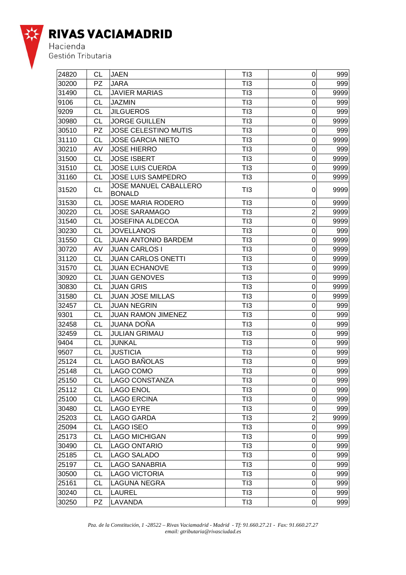

| 24820 | CL        | <b>JAEN</b>                                   | TI3             | $\mathsf 0$      | 999  |
|-------|-----------|-----------------------------------------------|-----------------|------------------|------|
| 30200 | <b>PZ</b> | <b>JARA</b>                                   | TI3             | 0                | 999  |
| 31490 | СL        | <b>JAVIER MARIAS</b>                          | TI3             | 0                | 9999 |
| 9106  | CL        | <b>JAZMIN</b>                                 | TI3             | $\mathbf 0$      | 999  |
| 9209  | СL        | <b>JILGUEROS</b>                              | TI3             | 0                | 999  |
| 30980 | СL        | <b>JORGE GUILLEN</b>                          | TI3             | $\Omega$         | 9999 |
| 30510 | <b>PZ</b> | <b>JOSE CELESTINO MUTIS</b>                   | TI3             | 0                | 999  |
| 31110 | CL        | <b>JOSE GARCIA NIETO</b>                      | TI3             | $\mathbf 0$      | 9999 |
| 30210 | AV        | <b>JOSE HIERRO</b>                            | TI3             | 0                | 999  |
| 31500 | <b>CL</b> | <b>JOSE ISBERT</b>                            | TI3             | 0                | 9999 |
| 31510 | СL        | <b>JOSE LUIS CUERDA</b>                       | TI3             | $\mathbf 0$      | 9999 |
| 31160 | СL        | <b>JOSE LUIS SAMPEDRO</b>                     | TI3             | $\mathbf 0$      | 9999 |
| 31520 | CL        | <b>JOSE MANUEL CABALLERO</b><br><b>BONALD</b> | TI3             | 0                | 9999 |
| 31530 | СL        | <b>JOSE MARIA RODERO</b>                      | TI3             | 0                | 9999 |
| 30220 | CL        | <b>JOSE SARAMAGO</b>                          | TI3             | $\overline{2}$   | 9999 |
| 31540 | CL        | <b>JOSEFINA ALDECOA</b>                       | TI3             | $\mathbf 0$      | 9999 |
| 30230 | СL        | <b>JOVELLANOS</b>                             | TI3             | 0                | 999  |
| 31550 | <b>CL</b> | <b>JUAN ANTONIO BARDEM</b>                    | TI3             | $\overline{0}$   | 9999 |
| 30720 | AV        | <b>JUAN CARLOS I</b>                          | TI3             | 0                | 9999 |
| 31120 | СL        | <b>JUAN CARLOS ONETTI</b>                     | TI3             | 0                | 9999 |
| 31570 | СL        | <b>JUAN ECHANOVE</b>                          | TI3             | $\mathbf 0$      | 9999 |
| 30920 | <b>CL</b> | <b>JUAN GENOVES</b>                           | TI3             | $\mathbf 0$      | 9999 |
| 30830 | СL        | <b>JUAN GRIS</b>                              | TI3             | 0                | 9999 |
| 31580 | СL        | <b>JUAN JOSE MILLAS</b>                       | TI3             | 0                | 9999 |
| 32457 | <b>CL</b> | <b>JUAN NEGRIN</b>                            | TI3             | 0                | 999  |
| 9301  | СL        | <b>JUAN RAMON JIMENEZ</b>                     | TI3             | 0                | 999  |
| 32458 | <b>CL</b> | <b>JUANA DOÑA</b>                             | TI3             | $\mathbf 0$      | 999  |
| 32459 | СL        | <b>JULIAN GRIMAU</b>                          | TI3             | 0                | 999  |
| 9404  | СL        | <b>JUNKAL</b>                                 | TI3             | $\mathbf 0$      | 999  |
| 9507  | CL        | <b>JUSTICIA</b>                               | T <sub>13</sub> | $\mathbf 0$      | 999  |
| 25124 | CL        | LAGO BAÑOLAS                                  | TI3             | 0                | 999  |
| 25148 | <b>CL</b> | LAGO COMO                                     | TI3             | $\mathbf 0$      | 999  |
| 25150 | <b>CL</b> | LAGO CONSTANZA                                | TI3             | $\pmb{0}$        | 999  |
| 25112 | СL        | <b>LAGO ENOL</b>                              | TI3             | 0                | 999  |
| 25100 | <b>CL</b> | <b>LAGO ERCINA</b>                            | T <sub>13</sub> | 0                | 999  |
| 30480 | <b>CL</b> | <b>LAGO EYRE</b>                              | TI3             | $\mathbf 0$      | 999  |
| 25203 | <b>CL</b> | <b>LAGO GARDA</b>                             | TI3             | $\overline{2}$   | 9999 |
| 25094 | <b>CL</b> | <b>LAGO ISEO</b>                              | TI3             | 0                | 999  |
| 25173 | <b>CL</b> | <b>LAGO MICHIGAN</b>                          | TI3             | 0                | 999  |
| 30490 | СL        | <b>LAGO ONTARIO</b>                           | TI3             | $\boldsymbol{0}$ | 999  |
| 25185 | <b>CL</b> | <b>LAGO SALADO</b>                            | TI3             | $\boldsymbol{0}$ | 999  |
| 25197 | СL        | <b>LAGO SANABRIA</b>                          | TI3             | 0                | 999  |
| 30500 | <b>CL</b> | <b>LAGO VICTORIA</b>                          | TI3             | 0                | 999  |
| 25161 | <b>CL</b> | <b>LAGUNA NEGRA</b>                           | TI3             | 0                | 999  |
| 30240 | СL        | <b>LAUREL</b>                                 | TI3             | 0                | 999  |
| 30250 | PZ        | LAVANDA                                       | TI3             | $\mathbf 0$      | 999  |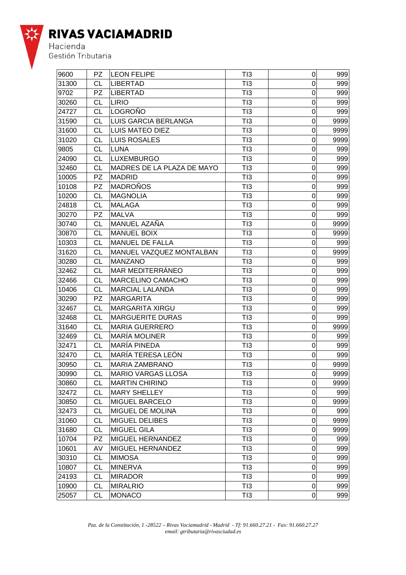

| 9600  | PZ.       | <b>LEON FELIPE</b>          | TI3             | $\mathbf 0$      | 999  |
|-------|-----------|-----------------------------|-----------------|------------------|------|
| 31300 | СL        | <b>LIBERTAD</b>             | TI3             | 0                | 999  |
| 9702  | <b>PZ</b> | <b>LIBERTAD</b>             | TI3             | 0                | 999  |
| 30260 | <b>CL</b> | <b>LIRIO</b>                | TI3             | $\mathbf 0$      | 999  |
| 24727 | СL        | LOGROÑO                     | TI3             | 0                | 999  |
| 31590 | СL        | <b>LUIS GARCIA BERLANGA</b> | TI3             | 0                | 9999 |
| 31600 | СL        | <b>LUIS MATEO DIEZ</b>      | TI3             | $\overline{0}$   | 9999 |
| 31020 | CL        | <b>LUIS ROSALES</b>         | TI3             | $\mathbf 0$      | 9999 |
| 9805  | СL        | <b>LUNA</b>                 | TI3             | 0                | 999  |
| 24090 | <b>CL</b> | <b>LUXEMBURGO</b>           | TI3             | $\Omega$         | 999  |
| 32460 | СL        | MADRES DE LA PLAZA DE MAYO  | TI3             | $\mathbf 0$      | 999  |
| 10005 | PZ        | <b>MADRID</b>               | TI3             | $\mathbf 0$      | 999  |
| 10108 | <b>PZ</b> | <b>MADRONOS</b>             | TI3             | 0                | 999  |
| 10200 | <b>CL</b> | <b>MAGNOLIA</b>             | TI3             | $\mathbf 0$      | 999  |
| 24818 | СL        | <b>MALAGA</b>               | TI3             | $\mathbf 0$      | 999  |
| 30270 | PZ        | <b>MALVA</b>                | TI3             | 0                | 999  |
| 30740 | СL        | MANUEL AZAÑA                | TI3             | $\Omega$         | 9999 |
| 30870 | CL        | <b>MANUEL BOIX</b>          | TI3             | $\mathbf 0$      | 9999 |
| 10303 | СL        | <b>MANUEL DE FALLA</b>      | TI3             | $\mathbf 0$      | 999  |
| 31620 | СL        | MANUEL VAZQUEZ MONTALBAN    | TI3             | 0                | 9999 |
| 30280 | <b>CL</b> | <b>MANZANO</b>              | TI3             | $\mathbf 0$      | 999  |
| 32462 | СL        | MAR MEDITERRÁNEO            | TI3             | $\mathbf 0$      | 999  |
| 32466 | СL        | MARCELINO CAMACHO           | TI3             | 0                | 999  |
| 10406 | СL        | <b>MARCIAL LALANDA</b>      | TI3             | 0                | 999  |
| 30290 | PZ.       | <b>MARGARITA</b>            | TI3             | $\mathbf 0$      | 999  |
| 32467 | <b>CL</b> | <b>MARGARITA XIRGU</b>      | TI3             | $\mathbf 0$      | 999  |
| 32468 | СL        | <b>MARGUERITE DURAS</b>     | TI3             | 0                | 999  |
| 31640 | СL        | <b>MARIA GUERRERO</b>       | TI3             | 0                | 9999 |
| 32469 | СL        | <b>MARÍA MOLINER</b>        | TI3             | $\mathbf 0$      | 999  |
| 32471 | СL        | <b>MARÍA PINEDA</b>         | TI3             | $\mathbf 0$      | 999  |
| 32470 | СL        | MARÍA TERESA LEÓN           | TI3             | 0                | 999  |
| 30950 | СL        | MARIA ZAMBRANO              | TI3             | 0                | 9999 |
| 30990 | <b>CL</b> | <b>MARIO VARGAS LLOSA</b>   | T <sub>13</sub> | $\Omega$         | 9999 |
| 30860 | <b>CL</b> | <b>MARTIN CHIRINO</b>       | TI3             | 0                | 9999 |
| 32472 | <b>CL</b> | <b>MARY SHELLEY</b>         | TI3             | $\mathbf 0$      | 999  |
| 30850 | <b>CL</b> | <b>MIGUEL BARCELO</b>       | TI3             | $\mathsf 0$      | 9999 |
| 32473 | <b>CL</b> | MIGUEL DE MOLINA            | TI3             | $\mathbf 0$      | 999  |
| 31060 | СL        | <b>MIGUEL DELIBES</b>       | TI3             | $\boldsymbol{0}$ | 9999 |
| 31680 | <b>CL</b> | <b>MIGUEL GILA</b>          | TI3             | $\mathbf 0$      | 9999 |
| 10704 | <b>PZ</b> | MIGUEL HERNANDEZ            | TI3             | $\mathsf 0$      | 999  |
| 10601 | AV        | MIGUEL HERNANDEZ            | TI3             | 0                | 999  |
| 30310 | <b>CL</b> | <b>MIMOSA</b>               | TI3             | $\mathbf 0$      | 999  |
| 10807 | CL        | <b>MINERVA</b>              | TI3             | $\boldsymbol{0}$ | 999  |
| 24193 | <b>CL</b> | <b>MIRADOR</b>              | TI3             | $\mathbf 0$      | 999  |
| 10900 | <b>CL</b> | <b>MIRALRIO</b>             | TI3             | $\boldsymbol{0}$ | 999  |
| 25057 | <b>CL</b> | <b>MONACO</b>               | TI3             | $\mathbf 0$      | 999  |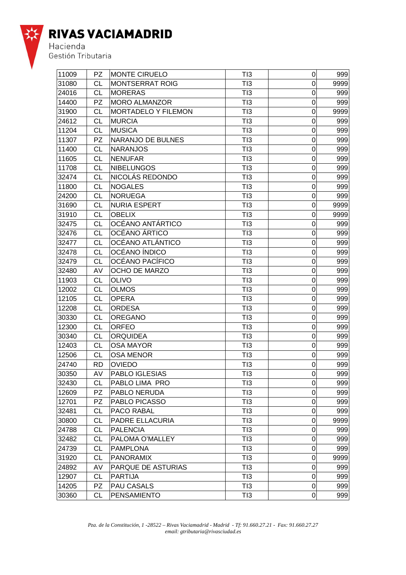

| 11009 | <b>PZ</b> | <b>MONTE CIRUELO</b>   | TI3             | 0                | 999  |
|-------|-----------|------------------------|-----------------|------------------|------|
| 31080 | СL        | <b>MONTSERRAT ROIG</b> | TI3             | $\Omega$         | 9999 |
| 24016 | СL        | <b>MORERAS</b>         | TI3             | 0                | 999  |
| 14400 | <b>PZ</b> | MORO ALMANZOR          | TI3             | $\mathbf 0$      | 999  |
| 31900 | <b>CL</b> | MORTADELO Y FILEMON    | TI3             | 0                | 9999 |
| 24612 | <b>CL</b> | <b>MURCIA</b>          | TI3             | $\mathbf 0$      | 999  |
| 11204 | <b>CL</b> | <b>MUSICA</b>          | TI3             | $\mathbf 0$      | 999  |
| 11307 | <b>PZ</b> | NARANJO DE BULNES      | TI3             | $\mathbf 0$      | 999  |
| 11400 | <b>CL</b> | <b>NARANJOS</b>        | TI3             | 0                | 999  |
| 11605 | СL        | <b>NENUFAR</b>         | TI3             | $\mathbf 0$      | 999  |
| 11708 | <b>CL</b> | <b>NIBELUNGOS</b>      | TI3             | $\mathbf 0$      | 999  |
| 32474 | СL        | NICOLÁS REDONDO        | TI3             | 0                | 999  |
| 11800 | <b>CL</b> | <b>NOGALES</b>         | TI3             | $\mathbf 0$      | 999  |
| 24200 | СL        | <b>NORUEGA</b>         | TI3             | $\mathbf 0$      | 999  |
| 31690 | СL        | <b>NURIA ESPERT</b>    | TI3             | $\overline{0}$   | 9999 |
| 31910 | <b>CL</b> | <b>OBELIX</b>          | TI3             | 0                | 9999 |
| 32475 | <b>CL</b> | OCÉANO ANTÁRTICO       | TI3             | $\overline{0}$   | 999  |
| 32476 | <b>CL</b> | OCÉANO ÁRTICO          | TI3             | $\mathbf 0$      | 999  |
| 32477 | <b>CL</b> | OCÉANO ATLÁNTICO       | TI3             | 0                | 999  |
| 32478 | <b>CL</b> | OCÉANO ÍNDICO          | TI3             | 0                | 999  |
| 32479 | СL        | OCÉANO PACÍFICO        | TI3             | $\mathbf 0$      | 999  |
| 32480 | AV        | OCHO DE MARZO          | TI3             | $\mathbf 0$      | 999  |
| 11903 | <b>CL</b> | <b>OLIVO</b>           | TI3             | $\mathbf 0$      | 999  |
| 12002 | <b>CL</b> | <b>OLMOS</b>           | TI3             | $\mathbf 0$      | 999  |
| 12105 | <b>CL</b> | <b>OPERA</b>           | TI3             | $\boldsymbol{0}$ | 999  |
| 12208 | <b>CL</b> | <b>ORDESA</b>          | TI3             | 0                | 999  |
| 30330 | <b>CL</b> | <b>OREGANO</b>         | TI3             | 0                | 999  |
| 12300 | CL        | <b>ORFEO</b>           | TI3             | $\boldsymbol{0}$ | 999  |
| 30340 | <b>CL</b> | <b>ORQUIDEA</b>        | TI3             | $\mathbf 0$      | 999  |
| 12403 | <b>CL</b> | <b>OSA MAYOR</b>       | TI3             | $\mathbf 0$      | 999  |
| 12506 | <b>CL</b> | <b>OSA MENOR</b>       | TI3             | $\mathbf 0$      | 999  |
| 24740 | RD        | <b>OVIEDO</b>          | TI3             | $\mathbf 0$      | 999  |
| 30350 | AV        | PABLO IGLESIAS         | T <sub>13</sub> | $\mathbf 0$      | 999  |
| 32430 | <b>CL</b> | PABLO LIMA PRO         | TI3             | $\mathbf 0$      | 999  |
| 12609 | <b>PZ</b> | PABLO NERUDA           | TI3             | $\mathbf 0$      | 999  |
| 12701 | <b>PZ</b> | PABLO PICASSO          | TI3             | $\boldsymbol{0}$ | 999  |
| 32481 | <b>CL</b> | <b>PACO RABAL</b>      | TI3             | $\boldsymbol{0}$ | 999  |
| 30800 | СL        | PADRE ELLACURIA        | TI3             | $\boldsymbol{0}$ | 9999 |
| 24788 | <b>CL</b> | <b>PALENCIA</b>        | TI3             | $\mathbf 0$      | 999  |
| 32482 | СL        | PALOMA O'MALLEY        | TI3             | 0                | 999  |
| 24739 | <b>CL</b> | <b>PAMPLONA</b>        | TI3             | $\mathbf 0$      | 999  |
| 31920 | CL        | <b>PANORAMIX</b>       | TI3             | $\mathbf 0$      | 9999 |
| 24892 | AV        | PARQUE DE ASTURIAS     | TI3             | $\mathbf 0$      | 999  |
| 12907 | СL        | <b>PARTIJA</b>         | TI3             | $\boldsymbol{0}$ | 999  |
| 14205 | <b>PZ</b> | PAU CASALS             | TI3             | $\mathbf 0$      | 999  |
| 30360 | <b>CL</b> | PENSAMIENTO            | TI3             | $\pmb{0}$        | 999  |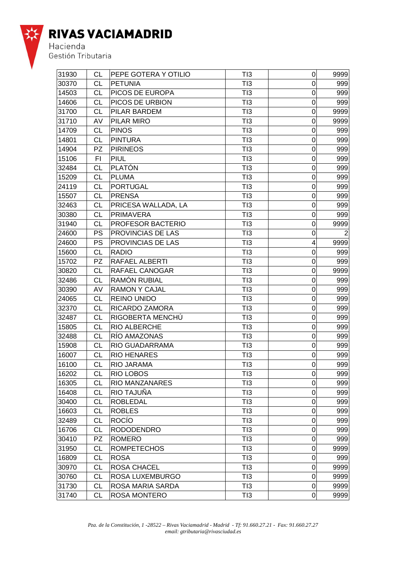

| 31930 | СL        | PEPE GOTERA Y OTILIO  | TI3 | $\mathbf 0$             | 9999           |
|-------|-----------|-----------------------|-----|-------------------------|----------------|
| 30370 | СL        | <b>PETUNIA</b>        | TI3 | 0                       | 999            |
| 14503 | <b>CL</b> | PICOS DE EUROPA       | TI3 | $\overline{0}$          | 999            |
| 14606 | CL        | PICOS DE URBION       | TI3 | $\boldsymbol{0}$        | 999            |
| 31700 | СL        | PILAR BARDEM          | TI3 | $\mathbf 0$             | 9999           |
| 31710 | AV        | PILAR MIRO            | TI3 | $\mathbf 0$             | 9999           |
| 14709 | <b>CL</b> | <b>PINOS</b>          | TI3 | $\mathbf 0$             | 999            |
| 14801 | <b>CL</b> | <b>PINTURA</b>        | TI3 | $\mathbf 0$             | 999            |
| 14904 | <b>PZ</b> | <b>PIRINEOS</b>       | TI3 | 0                       | 999            |
| 15106 | FI.       | PIUL                  | TI3 | 0                       | 999            |
| 32484 | CL        | <b>PLATÓN</b>         | TI3 | $\boldsymbol{0}$        | 999            |
| 15209 | СL        | <b>PLUMA</b>          | TI3 | $\overline{0}$          | 999            |
| 24119 | СL        | <b>PORTUGAL</b>       | TI3 | 0                       | 999            |
| 15507 | <b>CL</b> | <b>PRENSA</b>         | TI3 | $\mathbf 0$             | 999            |
| 32463 | СL        | PRICESA WALLADA, LA   | TI3 | $\mathbf 0$             | 999            |
| 30380 | СL        | <b>PRIMAVERA</b>      | TI3 | 0                       | 999            |
| 31940 | <b>CL</b> | PROFESOR BACTERIO     | TI3 | $\mathbf 0$             | 9999           |
| 24600 | <b>PS</b> | PROVINCIAS DE LAS     | TI3 | 0                       | $\overline{2}$ |
| 24600 | PS        | PROVINCIAS DE LAS     | TI3 | $\overline{\mathbf{4}}$ | 9999           |
| 15600 | <b>CL</b> | <b>RADIO</b>          | TI3 | 0                       | 999            |
| 15702 | <b>PZ</b> | <b>RAFAEL ALBERTI</b> | TI3 | $\mathbf 0$             | 999            |
| 30820 | CL        | <b>RAFAEL CANOGAR</b> | TI3 | 0                       | 9999           |
| 32486 | СL        | <b>RAMÓN RUBIAL</b>   | TI3 | 0                       | 999            |
| 30390 | AV        | <b>RAMON Y CAJAL</b>  | TI3 | 0                       | 999            |
| 24065 | <b>CL</b> | <b>REINO UNIDO</b>    | TI3 | 0                       | 999            |
| 32370 | <b>CL</b> | RICARDO ZAMORA        | TI3 | $\boldsymbol{0}$        | 999            |
| 32487 | <b>CL</b> | RIGOBERTA MENCHÚ      | TI3 | $\boldsymbol{0}$        | 999            |
| 15805 | <b>CL</b> | <b>RIO ALBERCHE</b>   | TI3 | $\overline{0}$          | 999            |
| 32488 | <b>CL</b> | RÍO AMAZONAS          | TI3 | 0                       | 999            |
| 15908 | СL        | RIO GUADARRAMA        | TI3 | 0                       | 999            |
| 16007 | <b>CL</b> | <b>RIO HENARES</b>    | TI3 | $\mathbf 0$             | 999            |
| 16100 | CL        | RIO JARAMA            | TI3 | $\boldsymbol{0}$        | 999            |
| 16202 | CL        | <b>RIO LOBOS</b>      | TI3 | $\overline{0}$          | 999            |
| 16305 | <b>CL</b> | <b>RIO MANZANARES</b> | TI3 | $\mathbf 0$             | 999            |
| 16408 | СL        | RIO TAJUÑA            | TI3 | 0                       | 999            |
| 30400 | <b>CL</b> | <b>ROBLEDAL</b>       | TI3 | $\boldsymbol{0}$        | 999            |
| 16603 | <b>CL</b> | <b>ROBLES</b>         | TI3 | 0                       | 999            |
| 32489 | <b>CL</b> | <b>ROCIO</b>          | TI3 | 0                       | 999            |
| 16706 | <b>CL</b> | <b>RODODENDRO</b>     | TI3 | $\boldsymbol{0}$        | 999            |
| 30410 | PZ        | <b>ROMERO</b>         | TI3 | $\boldsymbol{0}$        | 999            |
| 31950 | СL        | <b>ROMPETECHOS</b>    | TI3 | 0                       | 9999           |
| 16809 | <b>CL</b> | <b>ROSA</b>           | TI3 | 0                       | 999            |
| 30970 | <b>CL</b> | <b>ROSA CHACEL</b>    | TI3 | $\mathbf 0$             | 9999           |
| 30760 | <b>CL</b> | ROSA LUXEMBURGO       | TI3 | 0                       | 9999           |
| 31730 | <b>CL</b> | ROSA MARIA SARDA      | TI3 | 0                       | 9999           |
| 31740 | <b>CL</b> | ROSA MONTERO          | TI3 | $\mathbf 0$             | 9999           |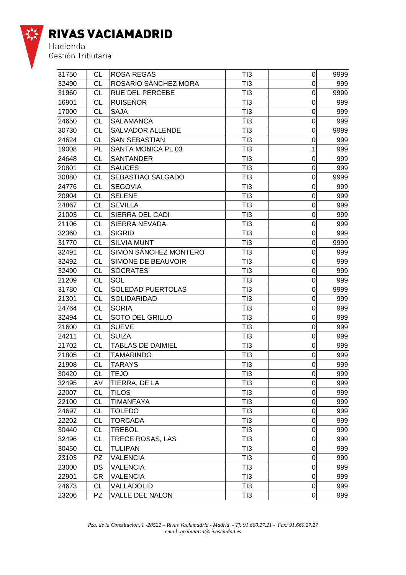

| 31750 | СL        | <b>ROSA REGAS</b>        | TI3             | $\mathbf 0$      | 9999 |
|-------|-----------|--------------------------|-----------------|------------------|------|
| 32490 | СL        | ROSARIO SÁNCHEZ MORA     | TI3             | $\Omega$         | 999  |
| 31960 | СL        | <b>RUE DEL PERCEBE</b>   | TI3             | $\Omega$         | 9999 |
| 16901 | СL        | <b>RUISEÑOR</b>          | TI3             | 0                | 999  |
| 17000 | СL        | <b>SAJA</b>              | TI3             | 0                | 999  |
| 24650 | <b>CL</b> | <b>SALAMANCA</b>         | T <sub>13</sub> | $\mathbf 0$      | 999  |
| 30730 | СL        | <b>SALVADOR ALLENDE</b>  | T <sub>13</sub> | $\mathbf 0$      | 9999 |
| 24624 | СL        | <b>SAN SEBASTIAN</b>     | TI3             | $\mathbf 0$      | 999  |
| 19008 | PL        | SANTA MONICA PL 03       | TI3             | 1                | 999  |
| 24648 | СL        | <b>SANTANDER</b>         | TI3             | 0                | 999  |
| 20801 | CL        | <b>SAUCES</b>            | TI3             | 0                | 999  |
| 30880 | СL        | <b>SEBASTIAO SALGADO</b> | TI3             | 0                | 9999 |
| 24776 | <b>CL</b> | <b>SEGOVIA</b>           | TI3             | 0                | 999  |
| 20904 | <b>CL</b> | <b>SELENE</b>            | T <sub>13</sub> | $\mathbf 0$      | 999  |
| 24867 | CL        | <b>SEVILLA</b>           | TI3             | $\mathbf 0$      | 999  |
| 21003 | CL        | SIERRA DEL CADI          | TI3             | 0                | 999  |
| 21106 | СL        | SIERRA NEVADA            | TI3             | $\mathbf 0$      | 999  |
| 32360 | CL        | <b>SIGRID</b>            | TI3             | 0                | 999  |
| 31770 | СL        | <b>SILVIA MUNT</b>       | TI3             | $\mathbf 0$      | 9999 |
| 32491 | <b>CL</b> | SIMÓN SÁNCHEZ MONTERO    | TI3             | 0                | 999  |
| 32492 | <b>CL</b> | SIMONE DE BEAUVOIR       | T <sub>13</sub> | $\mathbf 0$      | 999  |
| 32490 | CL        | <b>SÓCRATES</b>          | TI3             | $\mathbf 0$      | 999  |
| 21209 | <b>CL</b> | SOL                      | TI3             | 0                | 999  |
| 31780 | CL        | <b>SOLEDAD PUERTOLAS</b> | TI3             | $\mathbf 0$      | 9999 |
| 21301 | СL        | SOLIDARIDAD              | TI3             | $\mathbf 0$      | 999  |
| 24764 | СL        | <b>SORIA</b>             | TI3             | 0                | 999  |
| 32494 | <b>CL</b> | <b>SOTO DEL GRILLO</b>   | TI3             | $\mathbf 0$      | 999  |
| 21600 | <b>CL</b> | <b>SUEVE</b>             | T <sub>13</sub> | $\mathbf 0$      | 999  |
| 24211 | CL        | <b>SUIZA</b>             | TI3             | $\mathbf 0$      | 999  |
| 21702 | СL        | <b>TABLAS DE DAIMIEL</b> | TI3             | 0                | 999  |
| 21805 | СL        | <b>TAMARINDO</b>         | TI3             | $\mathbf 0$      | 999  |
| 21908 | <b>CL</b> | <b>TARAYS</b>            | TI3             | $\boldsymbol{0}$ | 999  |
| 30420 | СL        | <b>TEJO</b>              | TI3             | $\Omega$         | 999  |
| 32495 | AV        | TIERRA, DE LA            | TI3             | $\mathbf 0$      | 999  |
| 22007 | <b>CL</b> | <b>TILOS</b>             | TI3             | $\boldsymbol{0}$ | 999  |
| 22100 | <b>CL</b> | <b>TIMANFAYA</b>         | TI3             | $\mathbf 0$      | 999  |
| 24697 | СL        | <b>TOLEDO</b>            | TI3             | $\mathbf 0$      | 999  |
| 22202 | <b>CL</b> | <b>TORCADA</b>           | TI3             | $\mathbf 0$      | 999  |
| 30440 | <b>CL</b> | <b>TREBOL</b>            | TI3             | 0                | 999  |
| 32496 | <b>CL</b> | TRECE ROSAS, LAS         | TI3             | 0                | 999  |
| 30450 | <b>CL</b> | <b>TULIPAN</b>           | TI3             | $\mathbf 0$      | 999  |
| 23103 | PZ        | <b>VALENCIA</b>          | TI3             | $\boldsymbol{0}$ | 999  |
| 23000 | DS        | <b>VALENCIA</b>          | TI3             | $\boldsymbol{0}$ | 999  |
| 22901 | CR        | <b>VALENCIA</b>          | TI3             | $\mathbf 0$      | 999  |
| 24673 | <b>CL</b> | VALLADOLID               | TI3             | $\mathbf 0$      | 999  |
| 23206 | <b>PZ</b> | VALLE DEL NALON          | TI3             | $\mathbf 0$      | 999  |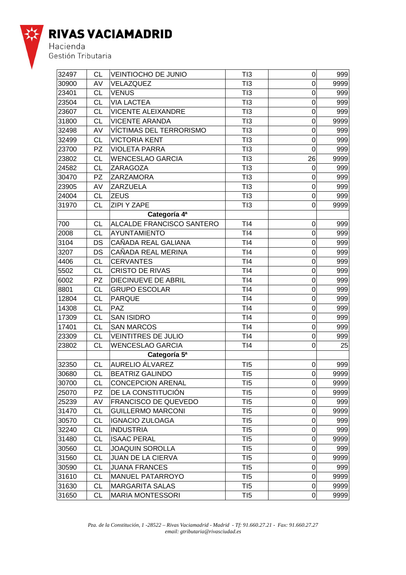

| 32497 | <b>CL</b> | <b>VEINTIOCHO DE JUNIO</b>  | TI3             | $\overline{0}$   | 999  |
|-------|-----------|-----------------------------|-----------------|------------------|------|
| 30900 | AV        | VELAZQUEZ                   | TI3             | $\mathbf 0$      | 9999 |
| 23401 | <b>CL</b> | <b>VENUS</b>                | TI3             | 0                | 999  |
| 23504 | <b>CL</b> | <b>VIA LACTEA</b>           | TI3             | $\overline{0}$   | 999  |
| 23607 | СL        | <b>VICENTE ALEIXANDRE</b>   | TI3             | $\boldsymbol{0}$ | 999  |
| 31800 | СL        | <b>VICENTE ARANDA</b>       | TI3             | 0                | 9999 |
| 32498 | AV        | VÍCTIMAS DEL TERRORISMO     | TI3             | 0                | 999  |
| 32499 | <b>CL</b> | <b>VICTORIA KENT</b>        | TI3             | $\mathbf 0$      | 999  |
| 23700 | <b>PZ</b> | <b>VIOLETA PARRA</b>        | TI3             | $\mathbf 0$      | 999  |
| 23802 | СL        | <b>WENCESLAO GARCIA</b>     | TI3             | 26               | 9999 |
| 24582 | СL        | ZARAGOZA                    | TI3             | $\mathbf 0$      | 999  |
| 30470 | <b>PZ</b> | ZARZAMORA                   | TI3             | 0                | 999  |
| 23905 | AV        | <b>ZARZUELA</b>             | TI3             | 0                | 999  |
| 24004 | <b>CL</b> | <b>ZEUS</b>                 | TI3             | 0                | 999  |
| 31970 | <b>CL</b> | <b>ZIPI Y ZAPE</b>          | TI3             | $\mathbf 0$      | 9999 |
|       |           | Categoría 4ª                |                 |                  |      |
| 700   | СL        | ALCALDE FRANCISCO SANTERO   | TI4             | 0                | 999  |
| 2008  | <b>CL</b> | AYUNTAMIENTO                | TI4             | 0                | 999  |
| 3104  | DS        | CAÑADA REAL GALIANA         | TI4             | $\mathbf 0$      | 999  |
| 3207  | DS        | CAÑADA REAL MERINA          | TI4             | $\mathbf 0$      | 999  |
| 4406  | <b>CL</b> | <b>CERVANTES</b>            | TI4             | 0                | 999  |
| 5502  | <b>CL</b> | <b>CRISTO DE RIVAS</b>      | T <sub>14</sub> | 0                | 999  |
| 6002  | <b>PZ</b> | DIECINUEVE DE ABRIL         | TI4             | $\mathbf 0$      | 999  |
| 8801  | <b>CL</b> | <b>GRUPO ESCOLAR</b>        | TI4             | 0                | 999  |
| 12804 | <b>CL</b> | <b>PARQUE</b>               | TI4             | $\overline{0}$   | 999  |
| 14308 | <b>CL</b> | <b>PAZ</b>                  | TI4             | $\mathbf 0$      | 999  |
| 17309 | <b>CL</b> | <b>SAN ISIDRO</b>           | TI4             | $\mathbf 0$      | 999  |
| 17401 | <b>CL</b> | <b>SAN MARCOS</b>           | T <sub>14</sub> | 0                | 999  |
| 23309 | <b>CL</b> | <b>VEINTITRES DE JULIO</b>  | TI4             | $\mathbf 0$      | 999  |
| 23802 | <b>CL</b> | <b>WENCESLAO GARCIA</b>     | TI4             | $\mathbf 0$      | 25   |
|       |           | Categoría 5ª                |                 |                  |      |
| 32350 | <b>CL</b> | AURELIO ÁLVAREZ             | T <sub>I5</sub> | 0                | 999  |
| 30680 | <b>CL</b> | <b>BEATRIZ GALINDO</b>      | TI5             | $\mathbf 0$      | 9999 |
| 30700 | СL        | <b>CONCEPCION ARENAL</b>    | T <sub>15</sub> | 0                | 9999 |
| 25070 | <b>PZ</b> | DE LA CONSTITUCIÓN          | T <sub>I5</sub> | 0                | 9999 |
| 25239 | AV        | <b>FRANCISCO DE QUEVEDO</b> | T <sub>I5</sub> | 0                | 999  |
| 31470 | <b>CL</b> | <b>GUILLERMO MARCONI</b>    | T <sub>I5</sub> | $\mathsf 0$      | 9999 |
| 30570 | <b>CL</b> | <b>IGNACIO ZULOAGA</b>      | T <sub>15</sub> | 0                | 999  |
| 32240 | <b>CL</b> | <b>INDUSTRIA</b>            | TI5             | $\mathbf 0$      | 999  |
| 31480 | <b>CL</b> | <b>ISAAC PERAL</b>          | T <sub>I5</sub> | $\mathsf 0$      | 9999 |
| 30560 | <b>CL</b> | <b>JOAQUIN SOROLLA</b>      | T <sub>I5</sub> | $\mathbf 0$      | 999  |
| 31560 | <b>CL</b> | JUAN DE LA CIERVA           | T <sub>15</sub> | 0                | 9999 |
| 30590 | <b>CL</b> | <b>JUANA FRANCES</b>        | T <sub>I5</sub> | $\boldsymbol{0}$ | 999  |
| 31610 | <b>CL</b> | <b>MANUEL PATARROYO</b>     | T <sub>I5</sub> | $\mathsf 0$      | 9999 |
| 31630 | <b>CL</b> | <b>MARGARITA SALAS</b>      | T <sub>15</sub> | 0                | 9999 |
| 31650 | <b>CL</b> | <b>MARIA MONTESSORI</b>     | T <sub>I5</sub> | $\mathbf 0$      | 9999 |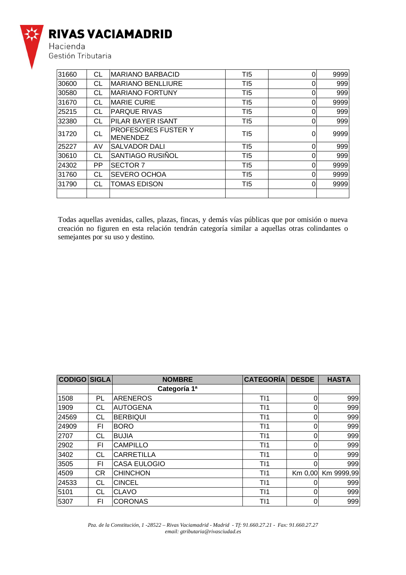

Hacienda<br>Gestión Tributaria

| 31660 | СL        | <b>MARIANO BARBACID</b>                | T <sub>15</sub> | 0 | 9999 |
|-------|-----------|----------------------------------------|-----------------|---|------|
| 30600 | СL        | <b>MARIANO BENLLIURE</b>               | T <sub>15</sub> |   | 999  |
| 30580 | СL        | <b>MARIANO FORTUNY</b>                 | T <sub>15</sub> | 0 | 999  |
| 31670 | СL        | <b>MARIE CURIE</b>                     | T <sub>15</sub> |   | 9999 |
| 25215 | СL        | <b>PARQUE RIVAS</b>                    | T <sub>15</sub> | 0 | 999  |
| 32380 | СL        | PILAR BAYER ISANT                      | TI <sub>5</sub> | 0 | 999  |
| 31720 | <b>CL</b> | PROFESORES FUSTER Y<br><b>MENENDEZ</b> | T <sub>15</sub> | 0 | 9999 |
| 25227 | AV        | <b>SALVADOR DALI</b>                   | T <sub>15</sub> | 0 | 999  |
| 30610 | СL        | SANTIAGO RUSIÑOL                       | T <sub>15</sub> | 0 | 999  |
| 24302 | <b>PP</b> | <b>SECTOR 7</b>                        | TI5             | 0 | 9999 |
| 31760 | СL        | SEVERO OCHOA                           | TI5             |   | 9999 |
| 31790 | СL        | <b>TOMAS EDISON</b>                    | TI5             |   | 9999 |
|       |           |                                        |                 |   |      |

Todas aquellas avenidas, calles, plazas, fincas, y demás vías públicas que por omisión o nueva creación no figuren en esta relación tendrán categoría similar a aquellas otras colindantes o semejantes por su uso y destino.

| <b>CODIGO SIGLA</b> |     | <b>NOMBRE</b>       | <b>CATEGORÍA</b> | <b>DESDE</b> | <b>HASTA</b> |
|---------------------|-----|---------------------|------------------|--------------|--------------|
|                     |     | Categoría 1ª        |                  |              |              |
| 1508                | PL  | <b>IARENEROS</b>    | T11              | 0            | 999          |
| 1909                | СL  | AUTOGENA            | T11              | 0            | 999          |
| 24569               | СL  | <b>BERBIQUI</b>     | T11              | 0            | 999          |
| 24909               | FΙ  | <b>BORO</b>         | T <sub>11</sub>  | 0            | 999          |
| 2707                | CL  | <b>BUJIA</b>        | T11              | 0            | 999          |
| 2902                | FI. | <b>CAMPILLO</b>     | T11              | 0            | 999          |
| 3402                | СL  | <b>CARRETILLA</b>   | T11              | 0            | 999          |
| 3505                | ΕL  | <b>CASA EULOGIO</b> | T11              | 0            | 999          |
| 4509                | CR. | <b>CHINCHON</b>     | T <sub>11</sub>  | Km 0,00      | Km 9999,99   |
| 24533               | СL  | <b>CINCEL</b>       | T11              |              | 999          |
| 5101                | СL  | <b>CLAVO</b>        | T11              | 0            | 999          |
| 5307                | FI  | <b>CORONAS</b>      | TI1              | 0            | 999          |

*Pza. de la Constitución, 1 -28522 – Rivas Vaciamadrid - Madrid - Tf: 91.660.27.21 - Fax: 91.660.27.27 email: gtributaria@rivasciudad.es*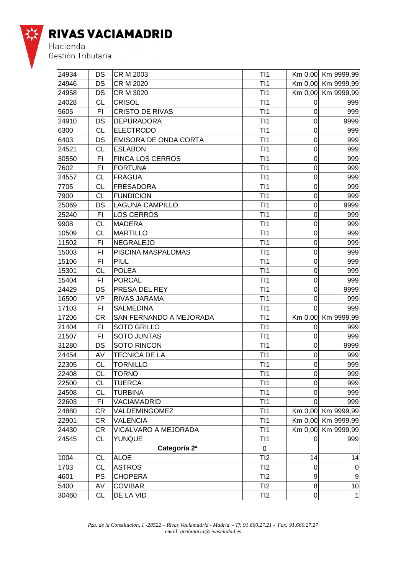

| 24934 | DS        | <b>CR M 2003</b>               | T <sub>11</sub> |                | Km 0,00 Km 9999,99 |
|-------|-----------|--------------------------------|-----------------|----------------|--------------------|
| 24946 | DS        | <b>CR M 2020</b>               | T11             |                | Km 0,00 Km 9999,99 |
| 24958 | <b>DS</b> | <b>CR M 3020</b>               | T11             |                | Km 0,00 Km 9999,99 |
| 24028 | <b>CL</b> | <b>CRISOL</b>                  | T <sub>11</sub> | 0              | 999                |
| 5605  | FI        | <b>CRISTO DE RIVAS</b>         | T11             | 0              | 999                |
| 24910 | <b>DS</b> | <b>DEPURADORA</b>              | T11             | 0              | 9999               |
| 6300  | <b>CL</b> | <b>ELECTRODO</b>               | T11             | $\mathbf 0$    | 999                |
| 6403  | DS        | <b>EMISORA DE ONDA CORTA</b>   | T11             | $\mathbf 0$    | 999                |
| 24521 | <b>CL</b> | <b>ESLABON</b>                 | TI1             | $\mathbf 0$    | 999                |
| 30550 | F1        | <b>FINCA LOS CERROS</b>        | T11             | 0              | 999                |
| 7602  | FI        | <b>FORTUNA</b>                 | T11             | 0              | 999                |
| 24557 | CL        | <b>FRAGUA</b>                  | T11             | 0              | 999                |
| 7705  | <b>CL</b> | FRESADORA                      | TI1             | 0              | 999                |
| 7900  | <b>CL</b> | <b>FUNDICION</b>               | T11             | $\mathbf 0$    | 999                |
| 25069 | DS        | LAGUNA CAMPILLO                | T11             | $\mathsf 0$    | 9999               |
| 25240 | FI        | <b>LOS CERROS</b>              | T11             | $\mathbf 0$    | 999                |
| 9908  | <b>CL</b> | <b>MADERA</b>                  | T11             | $\mathbf 0$    | 999                |
| 10509 | <b>CL</b> | <b>MARTILLO</b>                | T11             | 0              | 999                |
| 11502 | FI        | <b>NEGRALEJO</b>               | T <sub>11</sub> | $\mathbf 0$    | 999                |
| 15003 | F1        | PISCINA MASPALOMAS             | TI1             | 0              | 999                |
| 15106 | F1        | PIUL                           | T11             | $\mathbf 0$    | 999                |
| 15301 | <b>CL</b> | <b>POLEA</b>                   | T11             | $\mathbf 0$    | 999                |
| 15404 | FI        | <b>PORCAL</b>                  | T11             | 0              | 999                |
| 24429 | <b>DS</b> | PRESA DEL REY                  | T11             | $\mathbf 0$    | 9999               |
| 16500 | <b>VP</b> | RIVAS JARAMA                   | T11             | 0              | 999                |
| 17103 | FI        | <b>SALMEDINA</b>               | T <sub>11</sub> | 0              | 999                |
| 17206 | <b>CR</b> | <b>SAN FERNANDO A MEJORADA</b> | T11             |                | Km 0,00 Km 9999,99 |
| 21404 | F1        | <b>SOTO GRILLO</b>             | T11             | 0              | 999                |
| 21507 | FI        | <b>SOTO JUNTAS</b>             | T11             | 0              | 999                |
| 31280 | DS        | <b>SOTO RINCON</b>             | T11             | 0              | 9999               |
| 24454 | AV        | <b>TECNICA DE LA</b>           | TI1             | 0              | 999                |
| 22305 | <b>CL</b> | <b>TORNILLO</b>                | T11             | $\mathbf 0$    | 999                |
| 22408 | <b>CL</b> | <b>TORNO</b>                   | T11             | $\overline{0}$ | 999                |
| 22500 | <b>CL</b> | <b>TUERCA</b>                  | TI1             | $\mathbf 0$    | 999                |
| 24508 | <b>CL</b> | <b>TURBINA</b>                 | TI1             | 0              | 999                |
| 22603 | F1        | VACIAMADRID                    | TI1             | 0              | 999                |
| 24880 | <b>CR</b> | VALDEMINGOMEZ                  | TI1             |                | Km 0,00 Km 9999,99 |
| 22901 | <b>CR</b> | <b>VALENCIA</b>                | T11             |                | Km 0,00 Km 9999,99 |
| 24430 | <b>CR</b> | VICALVARO A MEJORADA           | T <sub>11</sub> |                | Km 0,00 Km 9999,99 |
| 24545 | <b>CL</b> | YUNQUE                         | T <sub>11</sub> | 0              | 999                |
|       |           | Categoría 2ª                   | 0               |                |                    |
| 1004  | <b>CL</b> | <b>ALOE</b>                    | TI2             | 14             | 14                 |
| 1703  | <b>CL</b> | <b>ASTROS</b>                  | TI2             | 0              | $\mathbf 0$        |
| 4601  | PS        | <b>CHOPERA</b>                 | TI2             | 9              | $\boldsymbol{9}$   |
| 5400  | AV        | <b>COVIBAR</b>                 | TI2             | $\, 8$         | 10                 |
| 30460 | <b>CL</b> | DE LA VID                      | TI2             | $\pmb{0}$      | $\mathbf{1}$       |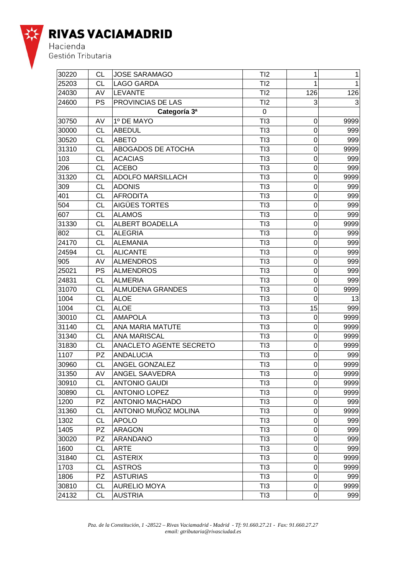

| 30220 | CL        | <b>JOSE SARAMAGO</b>           | TI2             | $\mathbf{1}$     | 1    |
|-------|-----------|--------------------------------|-----------------|------------------|------|
| 25203 | CL        | <b>LAGO GARDA</b>              | TI2             | 1                | 1    |
| 24030 | AV        | <b>LEVANTE</b>                 | TI2             | 126              | 126  |
| 24600 | <b>PS</b> | <b>PROVINCIAS DE LAS</b>       | TI2             | 3                | 3    |
|       |           | Categoría 3ª                   | 0               |                  |      |
| 30750 | AV        | 1º DE MAYO                     | TI3             | 0                | 9999 |
| 30000 | <b>CL</b> | ABEDUL                         | TI3             | $\mathbf 0$      | 999  |
| 30520 | CL        | <b>ABETO</b>                   | TI3             | $\mathbf 0$      | 999  |
| 31310 | CL        | <b>ABOGADOS DE ATOCHA</b>      | TI3             | $\mathbf 0$      | 9999 |
| 103   | <b>CL</b> | <b>ACACIAS</b>                 | TI3             | $\mathbf 0$      | 999  |
| 206   | <b>CL</b> | <b>ACEBO</b>                   | TI3             | 0                | 999  |
| 31320 | СL        | <b>ADOLFO MARSILLACH</b>       | TI3             | 0                | 9999 |
| 309   | <b>CL</b> | <b>ADONIS</b>                  | TI3             | 0                | 999  |
| 401   | <b>CL</b> | <b>AFRODITA</b>                | TI3             | $\mathbf 0$      | 999  |
| 504   | CL        | AIGÜES TORTES                  | TI3             | $\mathbf 0$      | 999  |
| 607   | CL        | <b>ALAMOS</b>                  | TI3             | $\mathbf 0$      | 999  |
| 31330 | <b>CL</b> | <b>ALBERT BOADELLA</b>         | TI3             | $\mathbf 0$      | 9999 |
| 802   | CL        | <b>ALEGRIA</b>                 | TI3             | 0                | 999  |
| 24170 | CL        | <b>ALEMANIA</b>                | TI3             | 0                | 999  |
| 24594 | <b>CL</b> | <b>ALICANTE</b>                | TI3             | 0                | 999  |
| 905   | AV        | <b>ALMENDROS</b>               | TI3             | $\mathbf 0$      | 999  |
| 25021 | PS        | <b>ALMENDROS</b>               | TI3             | $\mathbf 0$      | 999  |
| 24831 | CL        | <b>ALMERIA</b>                 | TI3             | $\mathbf 0$      | 999  |
| 31070 | <b>CL</b> | <b>ALMUDENA GRANDES</b>        | TI3             | $\mathbf 0$      | 9999 |
| 1004  | <b>CL</b> | <b>ALOE</b>                    | TI3             | 0                | 13   |
| 1004  | <b>CL</b> | <b>ALOE</b>                    | TI3             | 15               | 999  |
| 30010 | <b>CL</b> | <b>AMAPOLA</b>                 | TI3             | 0                | 9999 |
| 31140 | <b>CL</b> | <b>ANA MARIA MATUTE</b>        | TI3             | $\mathbf 0$      | 9999 |
| 31340 | CL        | <b>ANA MARISCAL</b>            | TI3             | $\mathbf 0$      | 9999 |
| 31830 | СL        | <b>ANACLETO AGENTE SECRETO</b> | TI3             | 0                | 9999 |
| 1107  | <b>PZ</b> | <b>ANDALUCIA</b>               | TI3             | $\mathbf 0$      | 999  |
| 30960 | <b>CL</b> | <b>ANGEL GONZALEZ</b>          | TI3             | $\mathbf 0$      | 9999 |
| 31350 | AV        | <b>ANGEL SAAVEDRA</b>          | TI3             | $\overline{0}$   | 9999 |
| 30910 | СL        | <b>ANTONIO GAUDI</b>           | TI3             | 0                | 9999 |
| 30890 | <b>CL</b> | <b>ANTONIO LOPEZ</b>           | TI3             | 0                | 9999 |
| 1200  | PZ        | <b>ANTONIO MACHADO</b>         | TI3             | $\boldsymbol{0}$ | 999  |
| 31360 | <b>CL</b> | ANTONIO MUÑOZ MOLINA           | TI3             | 0                | 9999 |
| 1302  | <b>CL</b> | <b>APOLO</b>                   | TI3             | $\mathbf 0$      | 999  |
| 1405  | PZ        | <b>ARAGON</b>                  | TI3             | $\boldsymbol{0}$ | 999  |
| 30020 | PZ.       | ARANDANO                       | TI3             | 0                | 999  |
| 1600  | <b>CL</b> | <b>ARTE</b>                    | TI3             | 0                | 999  |
| 31840 | <b>CL</b> | <b>ASTERIX</b>                 | TI3             | 0                | 9999 |
| 1703  | <b>CL</b> | <b>ASTROS</b>                  | T <sub>13</sub> | $\mathbf 0$      | 9999 |
| 1806  | PZ.       | <b>ASTURIAS</b>                | TI3             | 0                | 999  |
| 30810 | <b>CL</b> | <b>AURELIO MOYA</b>            | TI3             | $\mathbf 0$      | 9999 |
| 24132 | <b>CL</b> | <b>AUSTRIA</b>                 | TI3             | 0                | 999  |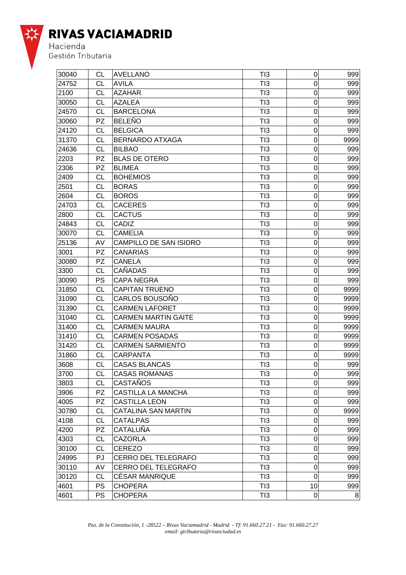

| 30040 | CL        | <b>AVELLANO</b>            | TI3 | $\pmb{0}$        | 999  |
|-------|-----------|----------------------------|-----|------------------|------|
| 24752 | СL        | <b>AVILA</b>               | TI3 | 0                | 999  |
| 2100  | <b>CL</b> | <b>AZAHAR</b>              | TI3 | 0                | 999  |
| 30050 | <b>CL</b> | <b>AZALEA</b>              | TI3 | $\mathbf 0$      | 999  |
| 24570 | СL        | <b>BARCELONA</b>           | TI3 | $\mathbf 0$      | 999  |
| 30060 | <b>PZ</b> | <b>BELEÑO</b>              | TI3 | $\mathbf 0$      | 999  |
| 24120 | <b>CL</b> | <b>BELGICA</b>             | TI3 | $\mathbf 0$      | 999  |
| 31370 | CL        | <b>BERNARDO ATXAGA</b>     | TI3 | $\mathbf 0$      | 9999 |
| 24636 | CL        | <b>BILBAO</b>              | TI3 | 0                | 999  |
| 2203  | <b>PZ</b> | <b>BLAS DE OTERO</b>       | TI3 | $\mathbf 0$      | 999  |
| 2306  | <b>PZ</b> | <b>BLIMEA</b>              | TI3 | $\mathbf 0$      | 999  |
| 2409  | <b>CL</b> | <b>BOHEMIOS</b>            | TI3 | $\mathbf 0$      | 999  |
| 2501  | <b>CL</b> | <b>BORAS</b>               | TI3 | $\mathbf 0$      | 999  |
| 2604  | <b>CL</b> | <b>BOROS</b>               | TI3 | $\mathbf 0$      | 999  |
| 24703 | <b>CL</b> | <b>CACERES</b>             | TI3 | $\mathbf 0$      | 999  |
| 2800  | <b>CL</b> | <b>CACTUS</b>              | TI3 | $\mathbf 0$      | 999  |
| 24843 | <b>CL</b> | CADIZ                      | TI3 | $\mathbf 0$      | 999  |
| 30070 | <b>CL</b> | <b>CAMELIA</b>             | TI3 | $\mathbf 0$      | 999  |
| 25136 | AV        | CAMPILLO DE SAN ISIDRO     | TI3 | $\mathbf 0$      | 999  |
| 3001  | <b>PZ</b> | <b>CANARIAS</b>            | TI3 | $\mathbf 0$      | 999  |
| 30080 | <b>PZ</b> | <b>CANELA</b>              | TI3 | $\mathbf 0$      | 999  |
| 3300  | CL        | <b>CAÑADAS</b>             | TI3 | $\mathbf 0$      | 999  |
| 30090 | <b>PS</b> | <b>CAPA NEGRA</b>          | TI3 | $\mathbf 0$      | 999  |
| 31850 | <b>CL</b> | <b>CAPITAN TRUENO</b>      | TI3 | $\mathbf 0$      | 9999 |
| 31090 | СL        | CARLOS BOUSOÑO             | TI3 | $\mathbf 0$      | 9999 |
| 31390 | <b>CL</b> | <b>CARMEN LAFORET</b>      | TI3 | $\mathbf 0$      | 9999 |
| 31040 | <b>CL</b> | <b>CARMEN MARTIN GAITE</b> | TI3 | $\mathbf 0$      | 9999 |
| 31400 | <b>CL</b> | <b>CARMEN MAURA</b>        | TI3 | $\mathbf 0$      | 9999 |
| 31410 | <b>CL</b> | <b>CARMEN POSADAS</b>      | TI3 | $\mathbf 0$      | 9999 |
| 31420 | CL        | <b>CARMEN SARMIENTO</b>    | TI3 | $\mathbf 0$      | 9999 |
| 31860 | <b>CL</b> | <b>CARPANTA</b>            | TI3 | $\mathbf 0$      | 9999 |
| 3608  | СL        | <b>CASAS BLANCAS</b>       | TI3 | $\mathbf 0$      | 999  |
| 3700  | CL        | <b>CASAS ROMANAS</b>       | TI3 | $\overline{0}$   | 999  |
| 3803  | <b>CL</b> | CASTAÑOS                   | TI3 | $\boldsymbol{0}$ | 999  |
| 3906  | PZ        | <b>CASTILLA LA MANCHA</b>  | TI3 | 0                | 999  |
| 4005  | <b>PZ</b> | <b>CASTILLA LEON</b>       | TI3 | $\mathbf 0$      | 999  |
| 30780 | CL        | <b>CATALINA SAN MARTIN</b> | TI3 | $\mathbf 0$      | 9999 |
| 4108  | <b>CL</b> | <b>CATALPAS</b>            | TI3 | $\pmb{0}$        | 999  |
| 4200  | PZ        | <b>CATALUÑA</b>            | TI3 | $\boldsymbol{0}$ | 999  |
| 4303  | СL        | <b>CAZORLA</b>             | TI3 | $\mathbf 0$      | 999  |
| 30100 | <b>CL</b> | <b>CEREZO</b>              | TI3 | $\pmb{0}$        | 999  |
| 24995 | PJ        | <b>CERRO DEL TELEGRAFO</b> | TI3 | $\mathbf 0$      | 999  |
| 30110 | AV        | <b>CERRO DEL TELEGRAFO</b> | TI3 | $\mathbf 0$      | 999  |
| 30120 | CL        | <b>CÉSAR MANRIQUE</b>      | TI3 | $\mathbf 0$      | 999  |
| 4601  | <b>PS</b> | <b>CHOPERA</b>             | TI3 | 10               | 999  |
| 4601  | <b>PS</b> | <b>CHOPERA</b>             | TI3 | $\pmb{0}$        | 8    |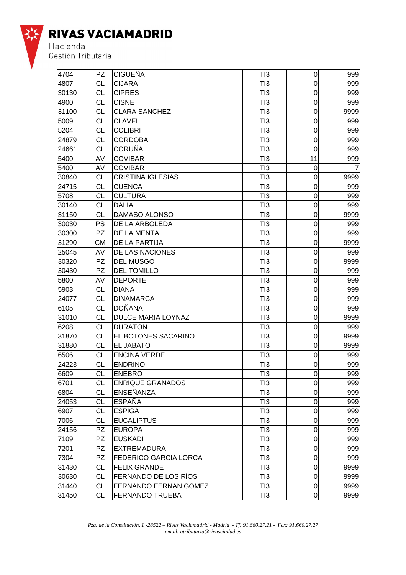

| 4704  | <b>PZ</b> | <b>CIGUEÑA</b>               | TI3             | 0                | 999  |
|-------|-----------|------------------------------|-----------------|------------------|------|
| 4807  | CL        | <b>CIJARA</b>                | TI3             | 0                | 999  |
| 30130 | <b>CL</b> | <b>CIPRES</b>                | TI3             | $\mathbf 0$      | 999  |
| 4900  | <b>CL</b> | <b>CISNE</b>                 | TI3             | 0                | 999  |
| 31100 | CL        | <b>CLARA SANCHEZ</b>         | TI3             | 0                | 9999 |
| 5009  | <b>CL</b> | <b>CLAVEL</b>                | TI3             | $\mathbf 0$      | 999  |
| 5204  | <b>CL</b> | <b>COLIBRI</b>               | TI3             | $\overline{0}$   | 999  |
| 24879 | CL        | <b>CORDOBA</b>               | TI3             | $\mathbf 0$      | 999  |
| 24661 | <b>CL</b> | <b>CORUÑA</b>                | TI3             | 0                | 999  |
| 5400  | AV        | <b>COVIBAR</b>               | TI3             | 11               | 999  |
| 5400  | AV        | <b>COVIBAR</b>               | TI3             | 0                |      |
| 30840 | <b>CL</b> | <b>CRISTINA IGLESIAS</b>     | TI3             | 0                | 9999 |
| 24715 | <b>CL</b> | <b>CUENCA</b>                | TI3             | $\mathbf 0$      | 999  |
| 5708  | <b>CL</b> | <b>CULTURA</b>               | TI3             | $\mathbf 0$      | 999  |
| 30140 | <b>CL</b> | <b>DALIA</b>                 | TI3             | $\mathbf 0$      | 999  |
| 31150 | <b>CL</b> | <b>DAMASO ALONSO</b>         | TI3             | 0                | 9999 |
| 30030 | <b>PS</b> | DE LA ARBOLEDA               | TI3             | $\mathbf 0$      | 999  |
| 30300 | <b>PZ</b> | DE LA MENTA                  | TI3             | 0                | 999  |
| 31290 | СM        | DE LA PARTIJA                | TI3             | 0                | 9999 |
| 25045 | AV        | DE LAS NACIONES              | TI3             | $\mathbf 0$      | 999  |
| 30320 | <b>PZ</b> | <b>DEL MUSGO</b>             | TI3             | $\mathbf 0$      | 9999 |
| 30430 | <b>PZ</b> | <b>DEL TOMILLO</b>           | TI3             | $\mathbf 0$      | 999  |
| 5800  | AV        | <b>DEPORTE</b>               | TI3             | $\mathbf 0$      | 999  |
| 5903  | <b>CL</b> | <b>DIANA</b>                 | TI3             | $\mathbf 0$      | 999  |
| 24077 | <b>CL</b> | <b>DINAMARCA</b>             | TI3             | 0                | 999  |
| 6105  | <b>CL</b> | <b>DOÑANA</b>                | T <sub>13</sub> | 0                | 999  |
| 31010 | <b>CL</b> | <b>DULCE MARIA LOYNAZ</b>    | TI3             | 0                | 9999 |
| 6208  | <b>CL</b> | <b>DURATON</b>               | TI3             | 0                | 999  |
| 31870 | <b>CL</b> | EL BOTONES SACARINO          | TI3             | 0                | 9999 |
| 31880 | <b>CL</b> | <b>EL JABATO</b>             | TI3             | $\mathbf 0$      | 9999 |
| 6506  | <b>CL</b> | <b>ENCINA VERDE</b>          | TI3             | 0                | 999  |
| 24223 | <b>CL</b> | <b>ENDRINO</b>               | TI3             | 0                | 999  |
| 6609  | CL        | <b>ENEBRO</b>                | T <sub>13</sub> | $\overline{0}$   | 999  |
| 6701  | CL        | <b>ENRIQUE GRANADOS</b>      | TI3             | $\pmb{0}$        | 999  |
| 6804  | CL        | <b>ENSEÑANZA</b>             | T <sub>13</sub> | 0                | 999  |
| 24053 | CL        | <b>ESPAÑA</b>                | TI3             | $\boldsymbol{0}$ | 999  |
| 6907  | <b>CL</b> | <b>ESPIGA</b>                | TI3             | $\boldsymbol{0}$ | 999  |
| 7006  | <b>CL</b> | <b>EUCALIPTUS</b>            | TI3             | 0                | 999  |
| 24156 | <b>PZ</b> | <b>EUROPA</b>                | TI3             | 0                | 999  |
| 7109  | PZ        | <b>EUSKADI</b>               | TI3             | 0                | 999  |
| 7201  | PZ        | <b>EXTREMADURA</b>           | TI3             | 0                | 999  |
| 7304  | PZ        | <b>FEDERICO GARCIA LORCA</b> | TI3             | 0                | 999  |
| 31430 | CL        | <b>FELIX GRANDE</b>          | TI3             | 0                | 9999 |
| 30630 | CL        | FERNANDO DE LOS RÍOS         | TI3             | $\boldsymbol{0}$ | 9999 |
| 31440 | <b>CL</b> | <b>FERNANDO FERNAN GOMEZ</b> | TI3             | $\pmb{0}$        | 9999 |
| 31450 | <b>CL</b> | <b>FERNANDO TRUEBA</b>       | TI3             | $\pmb{0}$        | 9999 |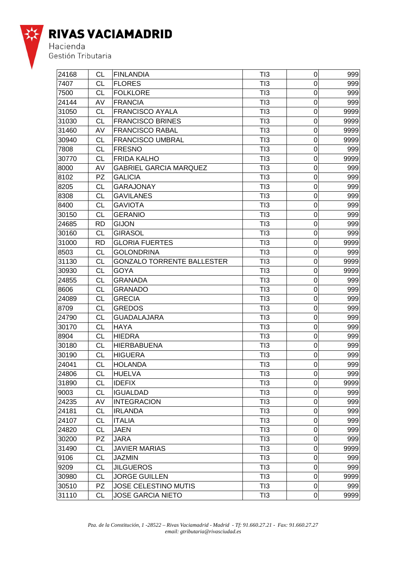

| 24168 | СL        | <b>FINLANDIA</b>                  | TI3 | 0                | 999  |
|-------|-----------|-----------------------------------|-----|------------------|------|
| 7407  | CL        | <b>FLORES</b>                     | TI3 | 0                | 999  |
| 7500  | <b>CL</b> | <b>FOLKLORE</b>                   | TI3 | $\mathbf 0$      | 999  |
| 24144 | AV        | <b>FRANCIA</b>                    | TI3 | $\mathbf 0$      | 999  |
| 31050 | <b>CL</b> | <b>FRANCISCO AYALA</b>            | TI3 | 0                | 9999 |
| 31030 | <b>CL</b> | <b>FRANCISCO BRINES</b>           | TI3 | 0                | 9999 |
| 31460 | AV        | <b>FRANCISCO RABAL</b>            | TI3 | $\overline{0}$   | 9999 |
| 30940 | CL        | <b>FRANCISCO UMBRAL</b>           | TI3 | $\mathbf 0$      | 9999 |
| 7808  | CL        | <b>FRESNO</b>                     | TI3 | 0                | 999  |
| 30770 | CL        | <b>FRIDA KALHO</b>                | TI3 | $\mathbf 0$      | 9999 |
| 8000  | AV        | <b>GABRIEL GARCIA MARQUEZ</b>     | TI3 | $\mathbf 0$      | 999  |
| 8102  | PZ.       | <b>GALICIA</b>                    | TI3 | 0                | 999  |
| 8205  | <b>CL</b> | <b>GARAJONAY</b>                  | TI3 | 0                | 999  |
| 8308  | CL        | <b>GAVILANES</b>                  | TI3 | $\mathbf 0$      | 999  |
| 8400  | CL        | <b>GAVIOTA</b>                    | TI3 | $\mathbf 0$      | 999  |
| 30150 | CL        | <b>GERANIO</b>                    | TI3 | 0                | 999  |
| 24685 | <b>RD</b> | <b>GIJON</b>                      | TI3 | $\mathbf 0$      | 999  |
| 30160 | <b>CL</b> | <b>GIRASOL</b>                    | TI3 | $\mathbf 0$      | 999  |
| 31000 | <b>RD</b> | <b>GLORIA FUERTES</b>             | TI3 | 0                | 9999 |
| 8503  | <b>CL</b> | <b>GOLONDRINA</b>                 | TI3 | 0                | 999  |
| 31130 | CL        | <b>GONZALO TORRENTE BALLESTER</b> | TI3 | $\mathbf 0$      | 9999 |
| 30930 | CL        | <b>GOYA</b>                       | TI3 | $\mathbf 0$      | 9999 |
| 24855 | CL        | <b>GRANADA</b>                    | TI3 | 0                | 999  |
| 8606  | <b>CL</b> | <b>GRANADO</b>                    | TI3 | $\mathbf 0$      | 999  |
| 24089 | <b>CL</b> | <b>GRECIA</b>                     | TI3 | 0                | 999  |
| 8709  | СL        | <b>GREDOS</b>                     | TI3 | 0                | 999  |
| 24790 | <b>CL</b> | <b>GUADALAJARA</b>                | TI3 | 0                | 999  |
| 30170 | <b>CL</b> | <b>HAYA</b>                       | TI3 | $\mathbf 0$      | 999  |
| 8904  | CL        | <b>HIEDRA</b>                     | TI3 | $\mathbf 0$      | 999  |
| 30180 | CL        | <b>HIERBABUENA</b>                | TI3 | $\mathbf 0$      | 999  |
| 30190 | <b>CL</b> | <b>HIGUERA</b>                    | TI3 | 0                | 999  |
| 24041 | CL        | <b>HOLANDA</b>                    | TI3 | 0                | 999  |
| 24806 | <b>CL</b> | HUELVA                            | TI3 | $\overline{0}$   | 999  |
| 31890 | <b>CL</b> | <b>IDEFIX</b>                     | TI3 | 0                | 9999 |
| 9003  | <b>CL</b> | <b>IGUALDAD</b>                   | TI3 | 0                | 999  |
| 24235 | AV        | <b>INTEGRACION</b>                | TI3 | $\boldsymbol{0}$ | 999  |
| 24181 | <b>CL</b> | <b>IRLANDA</b>                    | TI3 | $\mathbf 0$      | 999  |
| 24107 | <b>CL</b> | <b>ITALIA</b>                     | TI3 | $\mathbf 0$      | 999  |
| 24820 | <b>CL</b> | <b>JAEN</b>                       | TI3 | $\boldsymbol{0}$ | 999  |
| 30200 | PZ.       | JARA                              | TI3 | 0                | 999  |
| 31490 | <b>CL</b> | <b>JAVIER MARIAS</b>              | TI3 | 0                | 9999 |
| 9106  | <b>CL</b> | <b>JAZMIN</b>                     | TI3 | 0                | 999  |
| 9209  | <b>CL</b> | <b>JILGUEROS</b>                  | TI3 | $\boldsymbol{0}$ | 999  |
| 30980 | CL        | <b>JORGE GUILLEN</b>              | TI3 | $\mathbf 0$      | 9999 |
| 30510 | PZ        | <b>JOSE CELESTINO MUTIS</b>       | TI3 | $\mathbf 0$      | 999  |
| 31110 | <b>CL</b> | <b>JOSE GARCIA NIETO</b>          | TI3 | 0                | 9999 |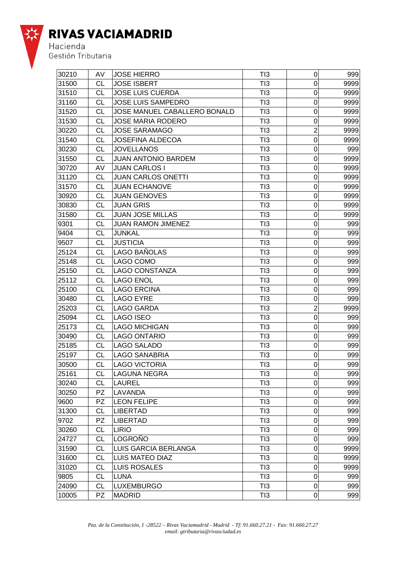

| 30210 | AV        | <b>JOSE HIERRO</b>           | TI3 | $\mathbf 0$    | 999  |
|-------|-----------|------------------------------|-----|----------------|------|
| 31500 | CL        | <b>JOSE ISBERT</b>           | TI3 | $\mathbf 0$    | 9999 |
| 31510 | CL        | <b>JOSE LUIS CUERDA</b>      | TI3 | 0              | 9999 |
| 31160 | CL        | <b>JOSE LUIS SAMPEDRO</b>    | TI3 | $\mathbf 0$    | 9999 |
| 31520 | CL        | JOSE MANUEL CABALLERO BONALD | TI3 | 0              | 9999 |
| 31530 | СL        | <b>JOSE MARIA RODERO</b>     | TI3 | 0              | 9999 |
| 30220 | CL        | <b>JOSE SARAMAGO</b>         | TI3 | $\overline{2}$ | 9999 |
| 31540 | CL        | <b>JOSEFINA ALDECOA</b>      | TI3 | $\mathbf 0$    | 9999 |
| 30230 | CL        | <b>JOVELLANOS</b>            | TI3 | $\mathbf 0$    | 999  |
| 31550 | CL        | <b>JUAN ANTONIO BARDEM</b>   | TI3 | $\mathbf 0$    | 9999 |
| 30720 | AV        | <b>JUAN CARLOS I</b>         | TI3 | 0              | 9999 |
| 31120 | CL        | JUAN CARLOS ONETTI           | TI3 | 0              | 9999 |
| 31570 | СL        | <b>JUAN ECHANOVE</b>         | TI3 | 0              | 9999 |
| 30920 | CL        | <b>JUAN GENOVES</b>          | TI3 | 0              | 9999 |
| 30830 | CL        | <b>JUAN GRIS</b>             | TI3 | $\mathbf 0$    | 9999 |
| 31580 | CL        | <b>JUAN JOSE MILLAS</b>      | TI3 | $\mathbf 0$    | 9999 |
| 9301  | CL        | <b>JUAN RAMON JIMENEZ</b>    | TI3 | $\mathbf 0$    | 999  |
| 9404  | CL        | <b>JUNKAL</b>                | TI3 | 0              | 999  |
| 9507  | CL        | <b>JUSTICIA</b>              | TI3 | 0              | 999  |
| 25124 | СL        | <b>LAGO BANOLAS</b>          | TI3 | 0              | 999  |
| 25148 | CL        | LAGO COMO                    | TI3 | 0              | 999  |
| 25150 | CL        | LAGO CONSTANZA               | TI3 | $\mathbf 0$    | 999  |
| 25112 | CL        | <b>LAGO ENOL</b>             | TI3 | $\mathbf 0$    | 999  |
| 25100 | CL        | LAGO ERCINA                  | TI3 | $\mathbf 0$    | 999  |
| 30480 | CL        | LAGO EYRE                    | TI3 | 0              | 999  |
| 25203 | CL        | LAGO GARDA                   | TI3 | $\overline{c}$ | 9999 |
| 25094 | CL        | <b>LAGO ISEO</b>             | TI3 | 0              | 999  |
| 25173 | CL        | LAGO MICHIGAN                | TI3 | 0              | 999  |
| 30490 | CL        | <b>LAGO ONTARIO</b>          | TI3 | $\mathbf 0$    | 999  |
| 25185 | СL        | <b>LAGO SALADO</b>           | TI3 | $\mathbf 0$    | 999  |
| 25197 | CL        | <b>LAGO SANABRIA</b>         | TI3 | 0              | 999  |
| 30500 | CL        | <b>LAGO VICTORIA</b>         | TI3 | 0              | 999  |
| 25161 | CL        | LAGUNA NEGRA                 | TI3 | $\mathbf 0$    | 999  |
| 30240 | СL        | LAUREL                       | TI3 | 0              | 999  |
| 30250 | PZ.       | LAVANDA                      | TI3 | 0              | 999  |
| 9600  | PZ.       | <b>LEON FELIPE</b>           | TI3 | 0              | 999  |
| 31300 | <b>CL</b> | <b>LIBERTAD</b>              | TI3 | 0              | 999  |
| 9702  | PZ.       | <b>LIBERTAD</b>              | TI3 | $\mathbf 0$    | 999  |
| 30260 | <b>CL</b> | <b>LIRIO</b>                 | TI3 | $\mathbf 0$    | 999  |
| 24727 | <b>CL</b> | <b>LOGROÑO</b>               | TI3 | 0              | 999  |
| 31590 | CL        | <b>LUIS GARCIA BERLANGA</b>  | TI3 | 0              | 9999 |
| 31600 | <b>CL</b> | LUIS MATEO DIAZ              | TI3 | 0              | 9999 |
| 31020 | <b>CL</b> | <b>LUIS ROSALES</b>          | TI3 | 0              | 9999 |
| 9805  | CL        | <b>LUNA</b>                  | TI3 | 0              | 999  |
| 24090 | CL        | <b>LUXEMBURGO</b>            | TI3 | 0              | 999  |
| 10005 | <b>PZ</b> | <b>MADRID</b>                | TI3 | 0              | 999  |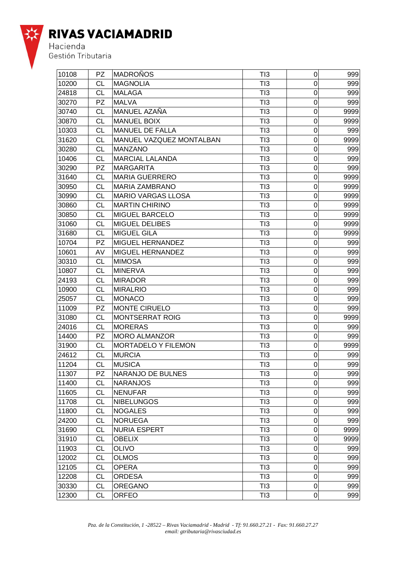

| 10108 | <b>PZ</b> | <b>MADROÑOS</b>            | TI3             | 0              | 999  |
|-------|-----------|----------------------------|-----------------|----------------|------|
| 10200 | CL        | MAGNOLIA                   | TI3             | 0              | 999  |
| 24818 | <b>CL</b> | <b>MALAGA</b>              | TI3             | $\mathbf 0$    | 999  |
| 30270 | <b>PZ</b> | <b>MALVA</b>               | TI3             | 0              | 999  |
| 30740 | <b>CL</b> | MANUEL AZAÑA               | TI3             | 0              | 9999 |
| 30870 | <b>CL</b> | <b>MANUEL BOIX</b>         | TI3             | $\mathbf 0$    | 9999 |
| 10303 | <b>CL</b> | MANUEL DE FALLA            | TI3             | $\mathbf 0$    | 999  |
| 31620 | CL        | MANUEL VAZQUEZ MONTALBAN   | TI3             | $\mathbf 0$    | 9999 |
| 30280 | CL        | MANZANO                    | TI3             | $\mathbf 0$    | 999  |
| 10406 | <b>CL</b> | <b>MARCIAL LALANDA</b>     | TI3             | $\mathbf 0$    | 999  |
| 30290 | <b>PZ</b> | MARGARITA                  | TI3             | 0              | 999  |
| 31640 | CL        | <b>MARIA GUERRERO</b>      | TI3             | 0              | 9999 |
| 30950 | <b>CL</b> | <b>MARIA ZAMBRANO</b>      | TI3             | 0              | 9999 |
| 30990 | <b>CL</b> | <b>MARIO VARGAS LLOSA</b>  | TI3             | $\mathbf 0$    | 9999 |
| 30860 | CL        | <b>MARTIN CHIRINO</b>      | TI3             | $\mathbf 0$    | 9999 |
| 30850 | CL        | <b>MIGUEL BARCELO</b>      | TI3             | $\mathbf 0$    | 9999 |
| 31060 | <b>CL</b> | <b>MIGUEL DELIBES</b>      | TI3             | $\mathbf 0$    | 9999 |
| 31680 | CL        | <b>MIGUEL GILA</b>         | TI3             | 0              | 9999 |
| 10704 | <b>PZ</b> | MIGUEL HERNANDEZ           | TI3             | 0              | 999  |
| 10601 | AV        | <b>MIGUEL HERNANDEZ</b>    | TI3             | 0              | 999  |
| 30310 | <b>CL</b> | <b>MIMOSA</b>              | TI3             | $\mathbf 0$    | 999  |
| 10807 | CL        | <b>MINERVA</b>             | TI3             | $\mathbf 0$    | 999  |
| 24193 | CL        | <b>MIRADOR</b>             | TI3             | $\mathbf 0$    | 999  |
| 10900 | <b>CL</b> | <b>MIRALRIO</b>            | TI3             | $\mathbf 0$    | 999  |
| 25057 | <b>CL</b> | MONACO                     | TI3             | $\mathbf 0$    | 999  |
| 11009 | <b>PZ</b> | <b>MONTE CIRUELO</b>       | TI3             | 0              | 999  |
| 31080 | <b>CL</b> | <b>MONTSERRAT ROIG</b>     | TI3             | 0              | 9999 |
| 24016 | <b>CL</b> | <b>MORERAS</b>             | TI3             | $\mathbf 0$    | 999  |
| 14400 | PZ        | <b>MORO ALMANZOR</b>       | TI3             | $\mathbf 0$    | 999  |
| 31900 | СL        | <b>MORTADELO Y FILEMON</b> | TI3             | 0              | 9999 |
| 24612 | <b>CL</b> | MURCIA                     | TI3             | $\mathbf 0$    | 999  |
| 11204 | <b>CL</b> | MUSICA                     | TI3             | $\mathbf 0$    | 999  |
| 11307 | PZ        | NARANJO DE BULNES          | TI3             | $\overline{0}$ | 999  |
| 11400 | CL        | <b>NARANJOS</b>            | TI3             | 0              | 999  |
| 11605 | <b>CL</b> | NENUFAR                    | TI3             | 0              | 999  |
| 11708 | <b>CL</b> | <b>NIBELUNGOS</b>          | T <sub>13</sub> | 0              | 999  |
| 11800 | <b>CL</b> | <b>NOGALES</b>             | TI3             | $\mathbf 0$    | 999  |
| 24200 | <b>CL</b> | NORUEGA                    | TI3             | 0              | 999  |
| 31690 | <b>CL</b> | NURIA ESPERT               | TI3             | 0              | 9999 |
| 31910 | CL        | <b>OBELIX</b>              | TI3             | 0              | 9999 |
| 11903 | <b>CL</b> | <b>OLIVO</b>               | TI3             | 0              | 999  |
| 12002 | <b>CL</b> | <b>OLMOS</b>               | TI3             | 0              | 999  |
| 12105 | <b>CL</b> | <b>OPERA</b>               | TI3             | 0              | 999  |
| 12208 | <b>CL</b> | <b>ORDESA</b>              | TI3             | $\mathbf 0$    | 999  |
| 30330 | <b>CL</b> | <b>OREGANO</b>             | TI3             | 0              | 999  |
| 12300 | <b>CL</b> | <b>ORFEO</b>               | TI3             | 0              | 999  |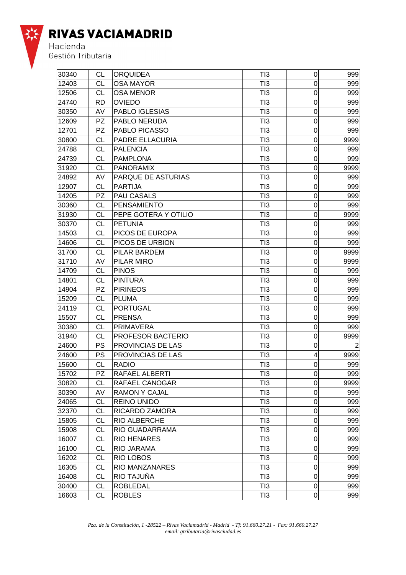

| 30340 | CL        | <b>ORQUIDEA</b>          | TI3             | 0                       | 999  |
|-------|-----------|--------------------------|-----------------|-------------------------|------|
| 12403 | CL        | <b>OSA MAYOR</b>         | TI3             | 0                       | 999  |
| 12506 | <b>CL</b> | <b>OSA MENOR</b>         | TI3             | $\mathbf 0$             | 999  |
| 24740 | <b>RD</b> | <b>OVIEDO</b>            | TI3             | $\mathbf 0$             | 999  |
| 30350 | AV        | PABLO IGLESIAS           | TI3             | $\mathbf 0$             | 999  |
| 12609 | <b>PZ</b> | <b>PABLO NERUDA</b>      | TI3             | 0                       | 999  |
| 12701 | <b>PZ</b> | <b>PABLO PICASSO</b>     | TI3             | 0                       | 999  |
| 30800 | <b>CL</b> | <b>PADRE ELLACURIA</b>   | T <sub>13</sub> | $\mathbf 0$             | 9999 |
| 24788 | CL        | <b>PALENCIA</b>          | TI3             | $\mathbf 0$             | 999  |
| 24739 | <b>CL</b> | <b>PAMPLONA</b>          | TI3             | $\mathbf 0$             | 999  |
| 31920 | <b>CL</b> | <b>PANORAMIX</b>         | TI3             | $\mathbf 0$             | 9999 |
| 24892 | AV        | PARQUE DE ASTURIAS       | TI3             | $\mathbf 0$             | 999  |
| 12907 | <b>CL</b> | <b>PARTIJA</b>           | TI3             | 0                       | 999  |
| 14205 | <b>PZ</b> | <b>PAU CASALS</b>        | TI3             | $\mathbf 0$             | 999  |
| 30360 | <b>CL</b> | <b>PENSAMIENTO</b>       | T <sub>13</sub> | $\mathbf 0$             | 999  |
| 31930 | CL        | PEPE GOTERA Y OTILIO     | TI3             | $\mathbf 0$             | 9999 |
| 30370 | <b>CL</b> | <b>PETUNIA</b>           | TI3             | $\mathbf 0$             | 999  |
| 14503 | <b>CL</b> | PICOS DE EUROPA          | TI3             | $\mathbf 0$             | 999  |
| 14606 | <b>CL</b> | PICOS DE URBION          | TI3             | $\mathbf 0$             | 999  |
| 31700 | <b>CL</b> | <b>PILAR BARDEM</b>      | TI3             | 0                       | 9999 |
| 31710 | AV        | <b>PILAR MIRO</b>        | TI3             | 0                       | 9999 |
| 14709 | <b>CL</b> | <b>PINOS</b>             | T <sub>13</sub> | $\mathbf 0$             | 999  |
| 14801 | <b>CL</b> | <b>PINTURA</b>           | T <sub>13</sub> | $\mathbf 0$             | 999  |
| 14904 | <b>PZ</b> | <b>PIRINEOS</b>          | TI3             | $\mathbf 0$             | 999  |
| 15209 | CL        | <b>PLUMA</b>             | TI3             | 0                       | 999  |
| 24119 | <b>CL</b> | <b>PORTUGAL</b>          | TI3             | $\mathbf 0$             | 999  |
| 15507 | <b>CL</b> | PRENSA                   | TI3             | 0                       | 999  |
| 30380 | <b>CL</b> | PRIMAVERA                | TI3             | 0                       | 999  |
| 31940 | <b>CL</b> | <b>PROFESOR BACTERIO</b> | T <sub>13</sub> | 0                       | 9999 |
| 24600 | <b>PS</b> | <b>PROVINCIAS DE LAS</b> | T <sub>13</sub> | $\mathbf 0$             | 2    |
| 24600 | <b>PS</b> | <b>PROVINCIAS DE LAS</b> | TI3             | $\overline{\mathbf{4}}$ | 9999 |
| 15600 | CL        | <b>RADIO</b>             | TI3             | 0                       | 999  |
| 15702 | <b>PZ</b> | RAFAEL ALBERTI           | TI3             | $\overline{0}$          | 999  |
| 30820 | <b>CL</b> | <b>RAFAEL CANOGAR</b>    | TI3             | 0                       | 9999 |
| 30390 | AV        | <b>RAMON Y CAJAL</b>     | TI3             | 0                       | 999  |
| 24065 | <b>CL</b> | <b>REINO UNIDO</b>       | TI3             | 0                       | 999  |
| 32370 | CL        | RICARDO ZAMORA           | TI3             | 0                       | 999  |
| 15805 | <b>CL</b> | <b>RIO ALBERCHE</b>      | TI3             | 0                       | 999  |
| 15908 | <b>CL</b> | RIO GUADARRAMA           | TI3             | 0                       | 999  |
| 16007 | <b>CL</b> | <b>RIO HENARES</b>       | TI3             | 0                       | 999  |
| 16100 | <b>CL</b> | RIO JARAMA               | TI3             | $\mathbf 0$             | 999  |
| 16202 | <b>CL</b> | <b>RIO LOBOS</b>         | TI3             | 0                       | 999  |
| 16305 | <b>CL</b> | <b>RIO MANZANARES</b>    | TI3             | 0                       | 999  |
| 16408 | <b>CL</b> | <b>RIO TAJUNA</b>        | TI3             | 0                       | 999  |
| 30400 | <b>CL</b> | <b>ROBLEDAL</b>          | TI3             | 0                       | 999  |
| 16603 | <b>CL</b> | <b>ROBLES</b>            | TI3             | 0                       | 999  |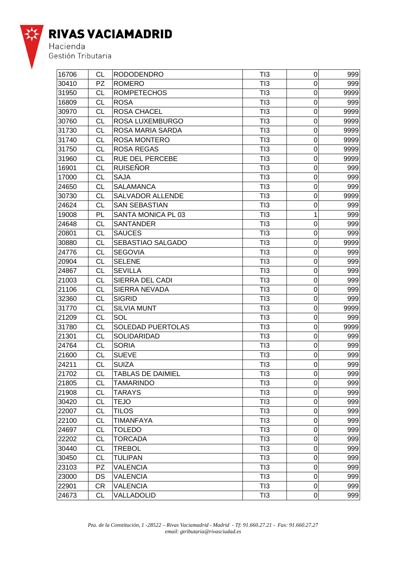

| 16706 | CL        | <b>RODODENDRO</b>         | TI3             | 0                | 999  |
|-------|-----------|---------------------------|-----------------|------------------|------|
| 30410 | <b>PZ</b> | <b>ROMERO</b>             | TI3             | 0                | 999  |
| 31950 | <b>CL</b> | <b>ROMPETECHOS</b>        | TI3             | 0                | 9999 |
| 16809 | CL        | <b>ROSA</b>               | TI3             | 0                | 999  |
| 30970 | CL        | <b>ROSA CHACEL</b>        | TI3             | $\mathbf 0$      | 9999 |
| 30760 | <b>CL</b> | <b>ROSA LUXEMBURGO</b>    | TI3             | $\mathbf 0$      | 9999 |
| 31730 | <b>CL</b> | <b>ROSA MARIA SARDA</b>   | TI3             | 0                | 9999 |
| 31740 | <b>CL</b> | <b>ROSA MONTERO</b>       | TI3             | 0                | 9999 |
| 31750 | CL        | <b>ROSA REGAS</b>         | TI3             | 0                | 9999 |
| 31960 | CL        | <b>RUE DEL PERCEBE</b>    | TI3             | $\mathbf 0$      | 9999 |
| 16901 | CL        | <b>RUISEÑOR</b>           | TI3             | $\mathbf 0$      | 999  |
| 17000 | CL        | <b>SAJA</b>               | TI3             | $\mathbf 0$      | 999  |
| 24650 | CL        | <b>SALAMANCA</b>          | TI3             | $\mathbf 0$      | 999  |
| 30730 | <b>CL</b> | <b>SALVADOR ALLENDE</b>   | TI3             | $\mathbf 0$      | 9999 |
| 24624 | <b>CL</b> | <b>SAN SEBASTIAN</b>      | TI3             | 0                | 999  |
| 19008 | PL        | <b>SANTA MONICA PL 03</b> | TI3             | 1                | 999  |
| 24648 | <b>CL</b> | <b>SANTANDER</b>          | TI3             | 0                | 999  |
| 20801 | CL        | <b>SAUCES</b>             | TI3             | 0                | 999  |
| 30880 | CL        | SEBASTIAO SALGADO         | TI3             | 0                | 9999 |
| 24776 | <b>CL</b> | <b>SEGOVIA</b>            | TI3             | $\mathbf 0$      | 999  |
| 20904 | <b>CL</b> | <b>SELENE</b>             | TI3             | $\mathbf 0$      | 999  |
| 24867 | <b>CL</b> | <b>SEVILLA</b>            | TI3             | 0                | 999  |
| 21003 | CL        | <b>SIERRA DEL CADI</b>    | TI3             | 0                | 999  |
| 21106 | <b>CL</b> | <b>SIERRA NEVADA</b>      | TI3             | 0                | 999  |
| 32360 | <b>CL</b> | <b>SIGRID</b>             | TI3             | $\mathbf 0$      | 999  |
| 31770 | CL        | <b>SILVIA MUNT</b>        | TI3             | 0                | 9999 |
| 21209 | <b>CL</b> | SOL                       | TI3             | $\mathbf 0$      | 999  |
| 31780 | <b>CL</b> | <b>SOLEDAD PUERTOLAS</b>  | TI3             | $\mathbf 0$      | 9999 |
| 21301 | <b>CL</b> | <b>SOLIDARIDAD</b>        | TI3             | 0                | 999  |
| 24764 | CL        | <b>SORIA</b>              | TI3             | 0                | 999  |
| 21600 | <b>CL</b> | <b>SUEVE</b>              | TI3             | 0                | 999  |
| 24211 | <b>CL</b> | <b>SUIZA</b>              | TI3             | $\mathbf 0$      | 999  |
| 21702 | CL        | TABLAS DE DAIMIEL         | TI3             | $\overline{0}$   | 999  |
| 21805 | <b>CL</b> | <b>TAMARINDO</b>          | TI3             | 0                | 999  |
| 21908 | <b>CL</b> | <b>TARAYS</b>             | TI3             | $\mathbf 0$      | 999  |
| 30420 | <b>CL</b> | <b>TEJO</b>               | TI3             | $\boldsymbol{0}$ | 999  |
| 22007 | <b>CL</b> | TILOS                     | TI3             | $\mathbf 0$      | 999  |
| 22100 | <b>CL</b> | <b>TIMANFAYA</b>          | T <sub>13</sub> | 0                | 999  |
| 24697 | <b>CL</b> | <b>TOLEDO</b>             | T <sub>13</sub> | 0                | 999  |
| 22202 | <b>CL</b> | <b>TORCADA</b>            | TI3             | 0                | 999  |
| 30440 | <b>CL</b> | <b>TREBOL</b>             | TI3             | 0                | 999  |
| 30450 | <b>CL</b> | <b>TULIPAN</b>            | TI3             | 0                | 999  |
| 23103 | PZ        | <b>VALENCIA</b>           | TI3             | $\boldsymbol{0}$ | 999  |
| 23000 | DS        | VALENCIA                  | TI3             | $\mathbf 0$      | 999  |
| 22901 | <b>CR</b> | <b>VALENCIA</b>           | TI3             | $\pmb{0}$        | 999  |
| 24673 | <b>CL</b> | VALLADOLID                | T <sub>13</sub> | 0                | 999  |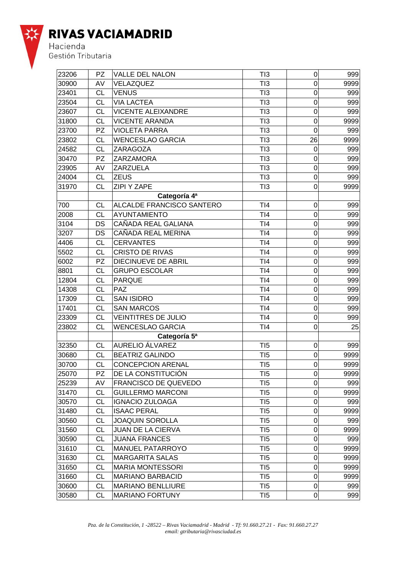

| 23206 | <b>PZ</b> | <b>VALLE DEL NALON</b>           | TI3             | $\boldsymbol{0}$ | 999  |
|-------|-----------|----------------------------------|-----------------|------------------|------|
| 30900 | AV        | VELAZQUEZ                        | TI3             | $\mathbf 0$      | 9999 |
| 23401 | <b>CL</b> | <b>VENUS</b>                     | TI3             | 0                | 999  |
| 23504 | <b>CL</b> | <b>VIA LACTEA</b>                | TI3             | 0                | 999  |
| 23607 | <b>CL</b> | <b>VICENTE ALEIXANDRE</b>        | TI3             | 0                | 999  |
| 31800 | <b>CL</b> | <b>VICENTE ARANDA</b>            | TI3             | 0                | 9999 |
| 23700 | PZ        | <b>VIOLETA PARRA</b>             | TI3             | 0                | 999  |
| 23802 | <b>CL</b> | <b>WENCESLAO GARCIA</b>          | TI3             | 26               | 9999 |
| 24582 | <b>CL</b> | <b>ZARAGOZA</b>                  | TI3             | $\mathbf 0$      | 999  |
| 30470 | <b>PZ</b> | <b>ZARZAMORA</b>                 | TI3             | 0                | 999  |
| 23905 | AV        | <b>ZARZUELA</b>                  | TI3             | 0                | 999  |
| 24004 | <b>CL</b> | <b>ZEUS</b>                      | TI3             | 0                | 999  |
| 31970 | <b>CL</b> | ZIPI Y ZAPE                      | TI3             | 0                | 9999 |
|       |           | Categoría 4ª                     |                 |                  |      |
| 700   | <b>CL</b> | <b>ALCALDE FRANCISCO SANTERO</b> | TI4             | $\mathbf 0$      | 999  |
| 2008  | <b>CL</b> | AYUNTAMIENTO                     | TI4             | $\overline{0}$   | 999  |
| 3104  | <b>DS</b> | CAÑADA REAL GALIANA              | TI4             | 0                | 999  |
| 3207  | <b>DS</b> | CAÑADA REAL MERINA               | TI4             | 0                | 999  |
| 4406  | <b>CL</b> | <b>CERVANTES</b>                 | TI4             | 0                | 999  |
| 5502  | <b>CL</b> | <b>CRISTO DE RIVAS</b>           | TI4             | 0                | 999  |
| 6002  | PZ        | <b>DIECINUEVE DE ABRIL</b>       | TI4             | 0                | 999  |
| 8801  | <b>CL</b> | <b>GRUPO ESCOLAR</b>             | TI4             | 0                | 999  |
| 12804 | <b>CL</b> | <b>PARQUE</b>                    | TI4             | $\mathbf 0$      | 999  |
| 14308 | <b>CL</b> | <b>PAZ</b>                       | TI4             | 0                | 999  |
| 17309 | <b>CL</b> | <b>SAN ISIDRO</b>                | T <sub>14</sub> | 0                | 999  |
| 17401 | <b>CL</b> | <b>SAN MARCOS</b>                | TI4             | 0                | 999  |
| 23309 | <b>CL</b> | <b>VEINTITRES DE JULIO</b>       | TI4             | 0                | 999  |
| 23802 | <b>CL</b> | <b>WENCESLAO GARCIA</b>          | TI4             | 0                | 25   |
|       |           | Categoría 5ª                     |                 |                  |      |
| 32350 | <b>CL</b> | AURELIO ÁLVAREZ                  | T <sub>I5</sub> | $\mathbf 0$      | 999  |
| 30680 | <b>CL</b> | <b>BEATRIZ GALINDO</b>           | TI5             | $\mathbf 0$      | 9999 |
| 30700 | <b>CL</b> | <b>CONCEPCION ARENAL</b>         | TI5             | $\mathbf 0$      | 9999 |
| 25070 | <b>PZ</b> | DE LA CONSTITUCIÓN               | T <sub>15</sub> | $\mathbf 0$      | 9999 |
| 25239 | AV        | <b>FRANCISCO DE QUEVEDO</b>      | T <sub>I5</sub> | 0                | 999  |
| 31470 | <b>CL</b> | <b>GUILLERMO MARCONI</b>         | TI5             | 0                | 9999 |
| 30570 | <b>CL</b> | <b>IGNACIO ZULOAGA</b>           | T <sub>I5</sub> | 0                | 999  |
| 31480 | CL        | <b>ISAAC PERAL</b>               | T <sub>I5</sub> | 0                | 9999 |
| 30560 | <b>CL</b> | <b>JOAQUIN SOROLLA</b>           | T <sub>I5</sub> | $\mathbf 0$      | 999  |
| 31560 | <b>CL</b> | <b>JUAN DE LA CIERVA</b>         | TI5             | $\mathbf 0$      | 9999 |
| 30590 | <b>CL</b> | <b>JUANA FRANCES</b>             | T <sub>I5</sub> | 0                | 999  |
| 31610 | <b>CL</b> | <b>MANUEL PATARROYO</b>          | T <sub>I5</sub> | 0                | 9999 |
| 31630 | <b>CL</b> | <b>MARGARITA SALAS</b>           | TI5             | 0                | 9999 |
| 31650 | <b>CL</b> | <b>MARIA MONTESSORI</b>          | TI5             | $\mathbf 0$      | 9999 |
| 31660 | CL        | <b>MARIANO BARBACID</b>          | T <sub>I5</sub> | $\mathbf 0$      | 9999 |
| 30600 | CL        | <b>MARIANO BENLLIURE</b>         | T <sub>I5</sub> | $\mathbf 0$      | 999  |
| 30580 | <b>CL</b> | <b>MARIANO FORTUNY</b>           | TI5             | 0                | 999  |